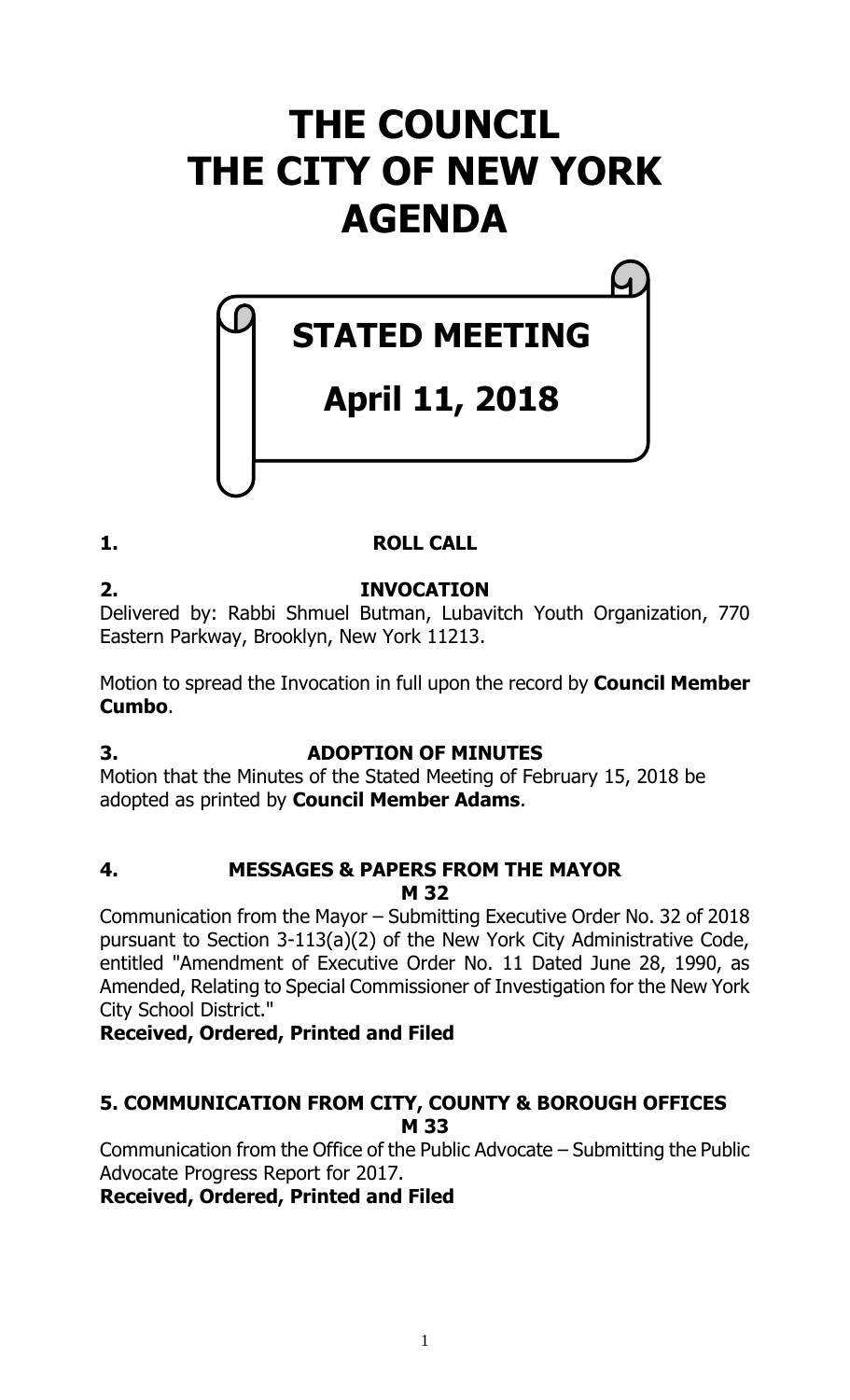# **THE COUNCIL THE CITY OF NEW YORK AGENDA**

# **STATED MEETING**

# **April 11, 2018**

# **1. ROLL CALL**

**2. INVOCATION** Delivered by: Rabbi Shmuel Butman, Lubavitch Youth Organization, 770 Eastern Parkway, Brooklyn, New York 11213.

Motion to spread the Invocation in full upon the record by **Council Member Cumbo**.

# **3. ADOPTION OF MINUTES**

Motion that the Minutes of the Stated Meeting of February 15, 2018 be adopted as printed by **Council Member Adams**.

#### **4. MESSAGES & PAPERS FROM THE MAYOR M 32**

Communication from the Mayor – Submitting Executive Order No. 32 of 2018 pursuant to Section 3-113(a)(2) of the New York City Administrative Code, entitled "Amendment of Executive Order No. 11 Dated June 28, 1990, as Amended, Relating to Special Commissioner of Investigation for the New York City School District."

# **Received, Ordered, Printed and Filed**

# **5. COMMUNICATION FROM CITY, COUNTY & BOROUGH OFFICES M 33**

Communication from the Office of the Public Advocate – Submitting the Public Advocate Progress Report for 2017.

**Received, Ordered, Printed and Filed**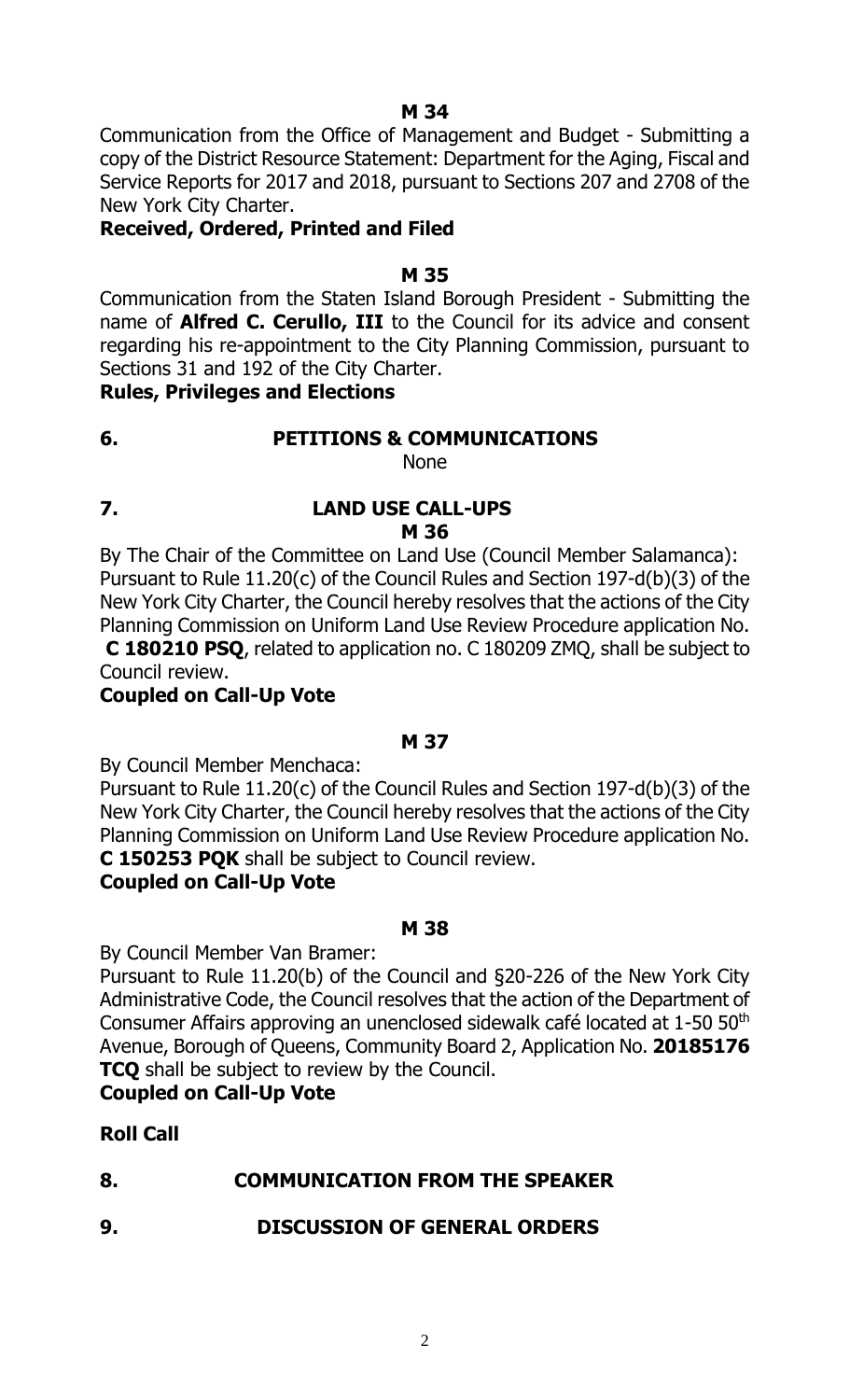**M 34**

Communication from the Office of Management and Budget - Submitting a copy of the District Resource Statement: Department for the Aging, Fiscal and Service Reports for 2017 and 2018, pursuant to Sections 207 and 2708 of the New York City Charter.

# **Received, Ordered, Printed and Filed**

#### **M 35**

Communication from the Staten Island Borough President - Submitting the name of **Alfred C. Cerullo, III** to the Council for its advice and consent regarding his re-appointment to the City Planning Commission, pursuant to Sections 31 and 192 of the City Charter.

#### **Rules, Privileges and Elections**

# **6. PETITIONS & COMMUNICATIONS**

None

**7. LAND USE CALL-UPS M 36**

By The Chair of the Committee on Land Use (Council Member Salamanca): Pursuant to Rule 11.20(c) of the Council Rules and Section 197-d(b)(3) of the New York City Charter, the Council hereby resolves that the actions of the City Planning Commission on Uniform Land Use Review Procedure application No. **C 180210 PSQ**, related to application no. C 180209 ZMQ, shall be subject to

Council review.

# **Coupled on Call-Up Vote**

#### **M 37**

By Council Member Menchaca:

Pursuant to Rule 11.20(c) of the Council Rules and Section 197-d(b)(3) of the New York City Charter, the Council hereby resolves that the actions of the City Planning Commission on Uniform Land Use Review Procedure application No. **C 150253 PQK** shall be subject to Council review.

# **Coupled on Call-Up Vote**

#### **M 38**

By Council Member Van Bramer:

Pursuant to Rule 11.20(b) of the Council and §20-226 of the New York City Administrative Code, the Council resolves that the action of the Department of Consumer Affairs approving an unenclosed sidewalk café located at 1-50 50<sup>th</sup> Avenue, Borough of Queens, Community Board 2, Application No. **20185176 TCQ** shall be subject to review by the Council.

#### **Coupled on Call-Up Vote**

# **Roll Call**

# **8. COMMUNICATION FROM THE SPEAKER**

**9. DISCUSSION OF GENERAL ORDERS**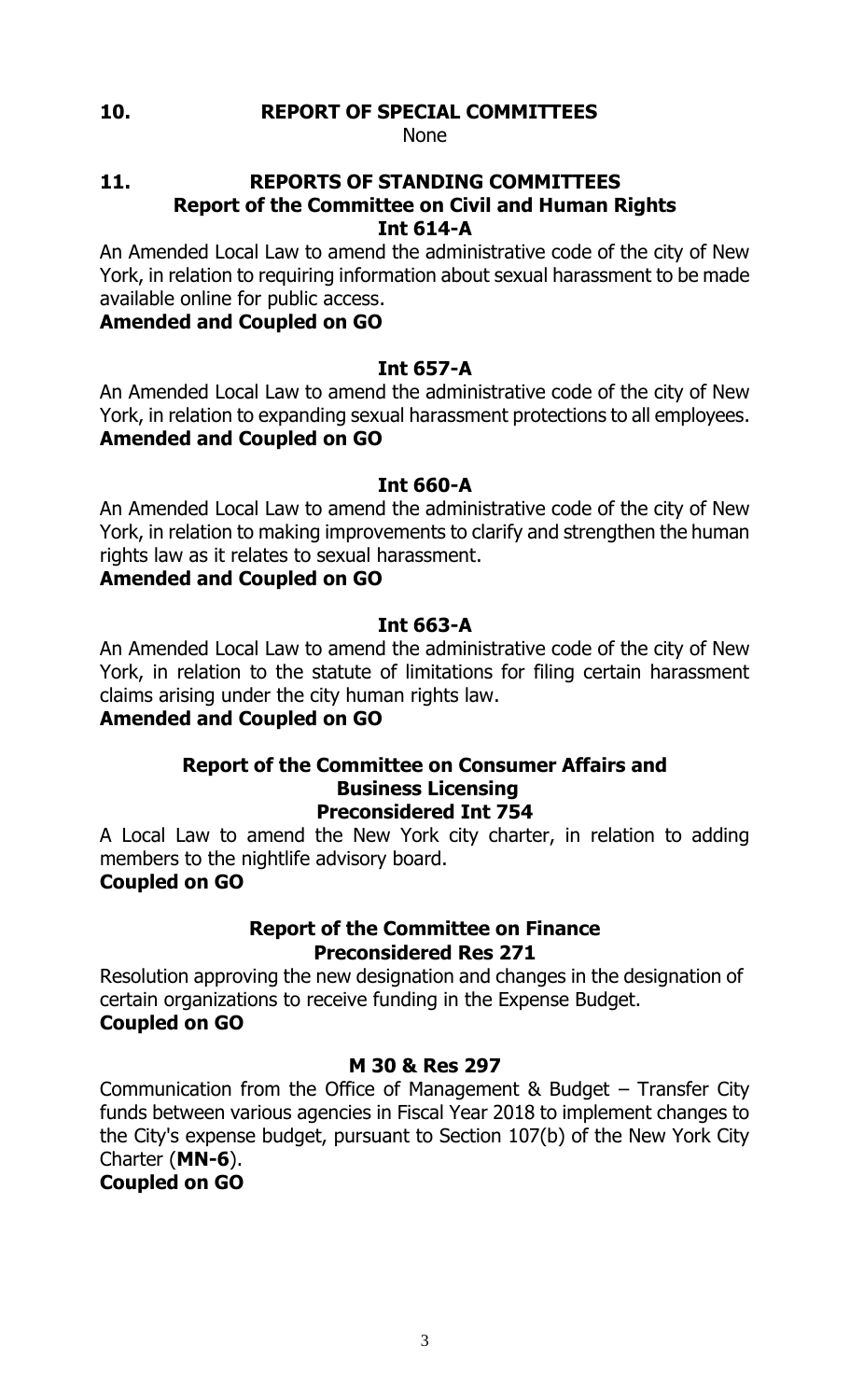#### **10. REPORT OF SPECIAL COMMITTEES**

None

#### **11. REPORTS OF STANDING COMMITTEES Report of the Committee on Civil and Human Rights Int 614-A**

An Amended Local Law to amend the administrative code of the city of New York, in relation to requiring information about sexual harassment to be made available online for public access.

# **Amended and Coupled on GO**

# **Int 657-A**

An Amended Local Law to amend the administrative code of the city of New York, in relation to expanding sexual harassment protections to all employees. **Amended and Coupled on GO**

# **Int 660-A**

An Amended Local Law to amend the administrative code of the city of New York, in relation to making improvements to clarify and strengthen the human rights law as it relates to sexual harassment.

# **Amended and Coupled on GO**

# **Int 663-A**

An Amended Local Law to amend the administrative code of the city of New York, in relation to the statute of limitations for filing certain harassment claims arising under the city human rights law.

# **Amended and Coupled on GO**

#### **Report of the Committee on Consumer Affairs and Business Licensing Preconsidered Int 754**

A Local Law to amend the New York city charter, in relation to adding members to the nightlife advisory board.

# **Coupled on GO**

#### **Report of the Committee on Finance Preconsidered Res 271**

Resolution approving the new designation and changes in the designation of certain organizations to receive funding in the Expense Budget. **Coupled on GO**

# **M 30 & Res 297**

Communication from the Office of Management & Budget – Transfer City funds between various agencies in Fiscal Year 2018 to implement changes to the City's expense budget, pursuant to Section 107(b) of the New York City Charter (**MN-6**).

**Coupled on GO**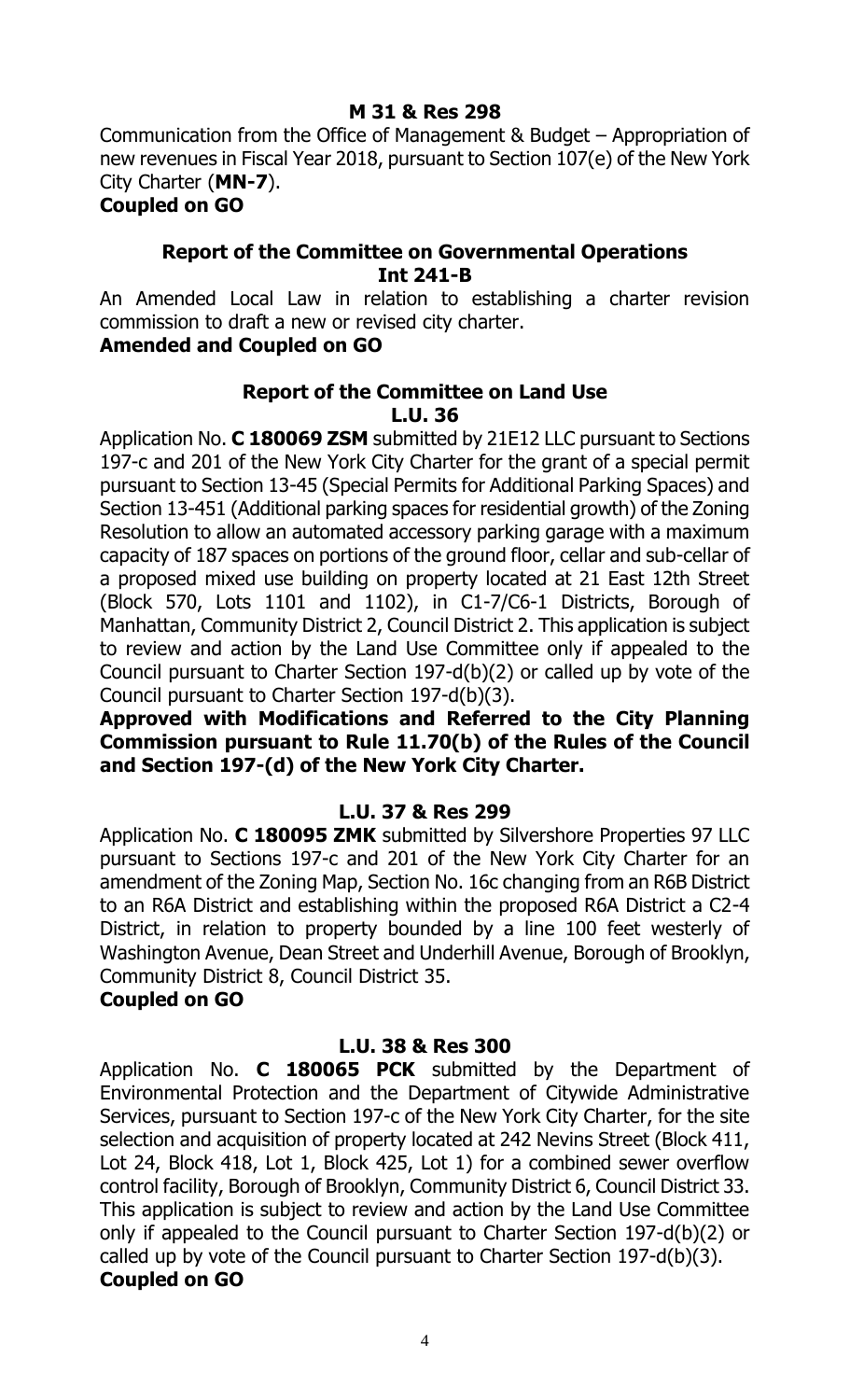Communication from the Office of Management & Budget – Appropriation of new revenues in Fiscal Year 2018, pursuant to Section 107(e) of the New York City Charter (**MN-7**).

**Coupled on GO**

# **Report of the Committee on Governmental Operations Int 241-B**

An Amended Local Law in relation to establishing a charter revision commission to draft a new or revised city charter.

# **Amended and Coupled on GO**

#### **Report of the Committee on Land Use L.U. 36**

Application No. **C 180069 ZSM** submitted by 21E12 LLC pursuant to Sections 197-c and 201 of the New York City Charter for the grant of a special permit pursuant to Section 13-45 (Special Permits for Additional Parking Spaces) and Section 13-451 (Additional parking spaces for residential growth) of the Zoning Resolution to allow an automated accessory parking garage with a maximum capacity of 187 spaces on portions of the ground floor, cellar and sub-cellar of a proposed mixed use building on property located at 21 East 12th Street (Block 570, Lots 1101 and 1102), in C1-7/C6-1 Districts, Borough of Manhattan, Community District 2, Council District 2. This application is subject to review and action by the Land Use Committee only if appealed to the Council pursuant to Charter Section 197-d(b)(2) or called up by vote of the Council pursuant to Charter Section 197-d(b)(3).

**Approved with Modifications and Referred to the City Planning Commission pursuant to Rule 11.70(b) of the Rules of the Council and Section 197-(d) of the New York City Charter.**

# **L.U. 37 & Res 299**

Application No. **C 180095 ZMK** submitted by Silvershore Properties 97 LLC pursuant to Sections 197-c and 201 of the New York City Charter for an amendment of the Zoning Map, Section No. 16c changing from an R6B District to an R6A District and establishing within the proposed R6A District a C2-4 District, in relation to property bounded by a line 100 feet westerly of Washington Avenue, Dean Street and Underhill Avenue, Borough of Brooklyn, Community District 8, Council District 35.

#### **Coupled on GO**

#### **L.U. 38 & Res 300**

Application No. **C 180065 PCK** submitted by the Department of Environmental Protection and the Department of Citywide Administrative Services, pursuant to Section 197-c of the New York City Charter, for the site selection and acquisition of property located at 242 Nevins Street (Block 411, Lot 24, Block 418, Lot 1, Block 425, Lot 1) for a combined sewer overflow control facility, Borough of Brooklyn, Community District 6, Council District 33. This application is subject to review and action by the Land Use Committee only if appealed to the Council pursuant to Charter Section 197-d(b)(2) or called up by vote of the Council pursuant to Charter Section 197-d(b)(3). **Coupled on GO**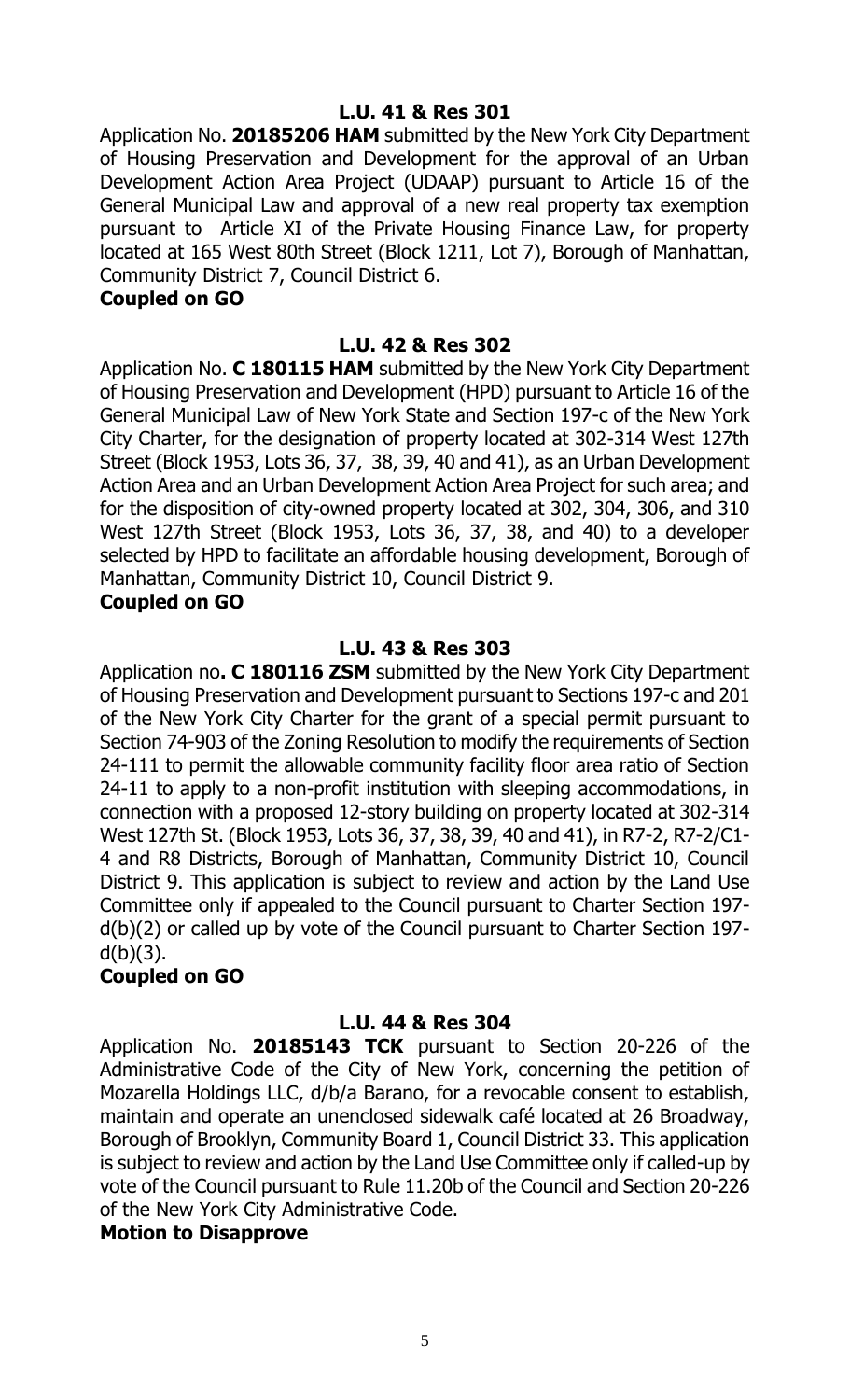# **L.U. 41 & Res 301**

Application No. **20185206 HAM** submitted by the New York City Department of Housing Preservation and Development for the approval of an Urban Development Action Area Project (UDAAP) pursuant to Article 16 of the General Municipal Law and approval of a new real property tax exemption pursuant to Article XI of the Private Housing Finance Law, for property located at 165 West 80th Street (Block 1211, Lot 7), Borough of Manhattan, Community District 7, Council District 6.

#### **Coupled on GO**

#### **L.U. 42 & Res 302**

Application No. **C 180115 HAM** submitted by the New York City Department of Housing Preservation and Development (HPD) pursuant to Article 16 of the General Municipal Law of New York State and Section 197-c of the New York City Charter, for the designation of property located at 302-314 West 127th Street (Block 1953, Lots 36, 37, 38, 39, 40 and 41), as an Urban Development Action Area and an Urban Development Action Area Project for such area; and for the disposition of city-owned property located at 302, 304, 306, and 310 West 127th Street (Block 1953, Lots 36, 37, 38, and 40) to a developer selected by HPD to facilitate an affordable housing development, Borough of Manhattan, Community District 10, Council District 9.

#### **Coupled on GO**

#### **L.U. 43 & Res 303**

Application no**. C 180116 ZSM** submitted by the New York City Department of Housing Preservation and Development pursuant to Sections 197-c and 201 of the New York City Charter for the grant of a special permit pursuant to Section 74-903 of the Zoning Resolution to modify the requirements of Section 24-111 to permit the allowable community facility floor area ratio of Section 24-11 to apply to a non-profit institution with sleeping accommodations, in connection with a proposed 12-story building on property located at 302-314 West 127th St. (Block 1953, Lots 36, 37, 38, 39, 40 and 41), in R7-2, R7-2/C1- 4 and R8 Districts, Borough of Manhattan, Community District 10, Council District 9. This application is subject to review and action by the Land Use Committee only if appealed to the Council pursuant to Charter Section 197 d(b)(2) or called up by vote of the Council pursuant to Charter Section 197  $d(b)(3)$ .

#### **Coupled on GO**

#### **L.U. 44 & Res 304**

Application No. **20185143 TCK** pursuant to Section 20-226 of the Administrative Code of the City of New York, concerning the petition of Mozarella Holdings LLC, d/b/a Barano, for a revocable consent to establish, maintain and operate an unenclosed sidewalk café located at 26 Broadway, Borough of Brooklyn, Community Board 1, Council District 33. This application is subject to review and action by the Land Use Committee only if called-up by vote of the Council pursuant to Rule 11.20b of the Council and Section 20-226 of the New York City Administrative Code.

#### **Motion to Disapprove**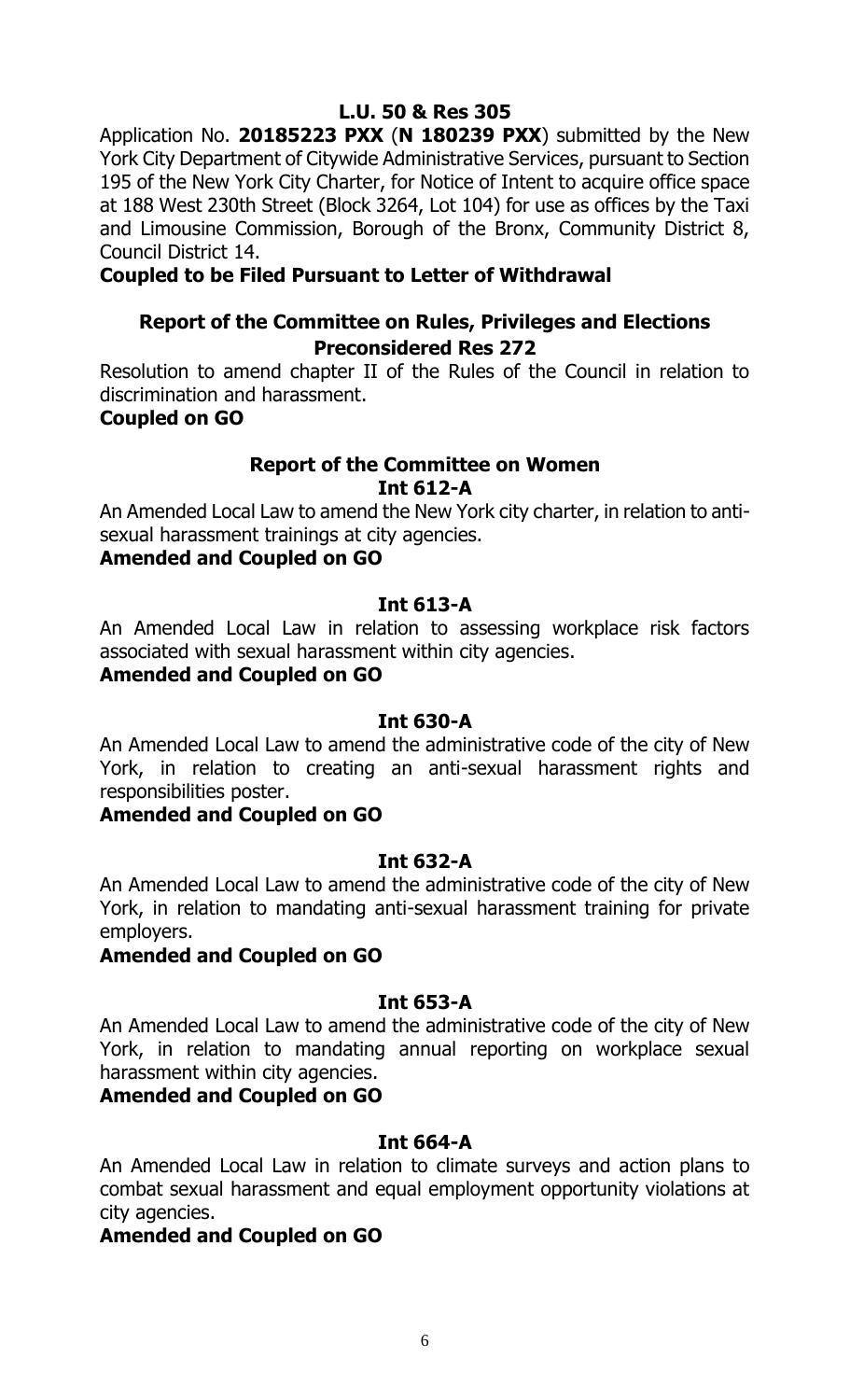Application No. **20185223 PXX** (**N 180239 PXX**) submitted by the New York City Department of Citywide Administrative Services, pursuant to Section 195 of the New York City Charter, for Notice of Intent to acquire office space at 188 West 230th Street (Block 3264, Lot 104) for use as offices by the Taxi and Limousine Commission, Borough of the Bronx, Community District 8, Council District 14.

# **Coupled to be Filed Pursuant to Letter of Withdrawal**

# **Report of the Committee on Rules, Privileges and Elections Preconsidered Res 272**

Resolution to amend chapter II of the Rules of the Council in relation to discrimination and harassment.

#### **Coupled on GO**

# **Report of the Committee on Women Int 612-A**

An Amended Local Law to amend the New York city charter, in relation to antisexual harassment trainings at city agencies.

#### **Amended and Coupled on GO**

#### **Int 613-A**

An Amended Local Law in relation to assessing workplace risk factors associated with sexual harassment within city agencies.

#### **Amended and Coupled on GO**

#### **Int 630-A**

An Amended Local Law to amend the administrative code of the city of New York, in relation to creating an anti-sexual harassment rights and responsibilities poster.

#### **Amended and Coupled on GO**

#### **Int 632-A**

An Amended Local Law to amend the administrative code of the city of New York, in relation to mandating anti-sexual harassment training for private employers.

#### **Amended and Coupled on GO**

#### **Int 653-A**

An Amended Local Law to amend the administrative code of the city of New York, in relation to mandating annual reporting on workplace sexual harassment within city agencies.

# **Amended and Coupled on GO**

#### **Int 664-A**

An Amended Local Law in relation to climate surveys and action plans to combat sexual harassment and equal employment opportunity violations at city agencies.

#### **Amended and Coupled on GO**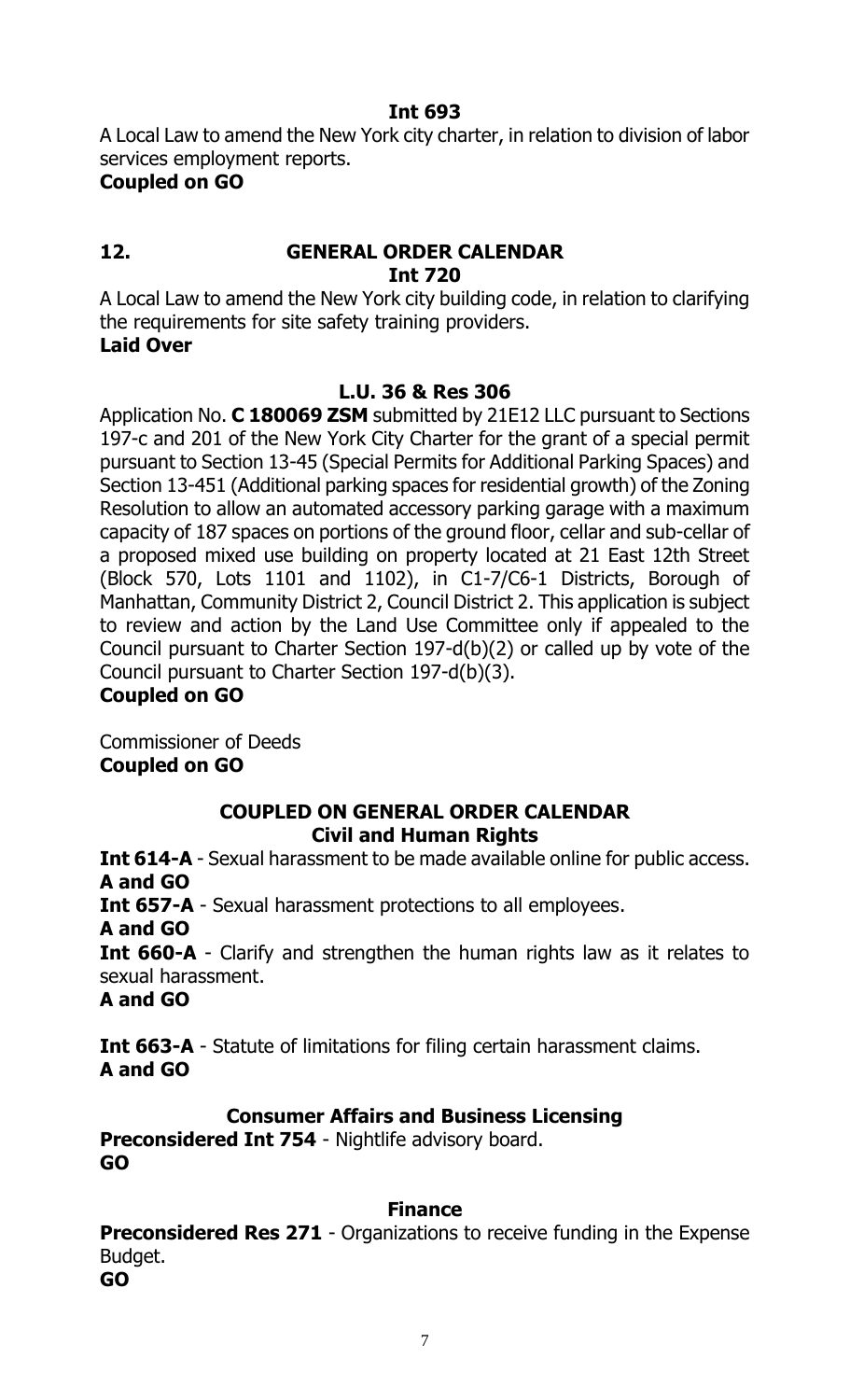A Local Law to amend the New York city charter, in relation to division of labor services employment reports.

### **Coupled on GO**

# **12. GENERAL ORDER CALENDAR Int 720**

A Local Law to amend the New York city building code, in relation to clarifying the requirements for site safety training providers. **Laid Over**

# **L.U. 36 & Res 306**

Application No. **C 180069 ZSM** submitted by 21E12 LLC pursuant to Sections 197-c and 201 of the New York City Charter for the grant of a special permit pursuant to Section 13-45 (Special Permits for Additional Parking Spaces) and Section 13-451 (Additional parking spaces for residential growth) of the Zoning Resolution to allow an automated accessory parking garage with a maximum capacity of 187 spaces on portions of the ground floor, cellar and sub-cellar of a proposed mixed use building on property located at 21 East 12th Street (Block 570, Lots 1101 and 1102), in C1-7/C6-1 Districts, Borough of Manhattan, Community District 2, Council District 2. This application is subject to review and action by the Land Use Committee only if appealed to the Council pursuant to Charter Section 197-d(b)(2) or called up by vote of the Council pursuant to Charter Section 197-d(b)(3).

# **Coupled on GO**

Commissioner of Deeds **Coupled on GO**

# **COUPLED ON GENERAL ORDER CALENDAR Civil and Human Rights**

**Int 614-A** - Sexual harassment to be made available online for public access. **A and GO**

**Int 657-A** - Sexual harassment protections to all employees.

**A and GO**

**Int 660-A** - Clarify and strengthen the human rights law as it relates to sexual harassment.

**A and GO**

**Int 663-A** - Statute of limitations for filing certain harassment claims. **A and GO**

# **Consumer Affairs and Business Licensing**

**Preconsidered Int 754** - Nightlife advisory board. **GO**

# **Finance**

**Preconsidered Res 271** - Organizations to receive funding in the Expense Budget.

**GO**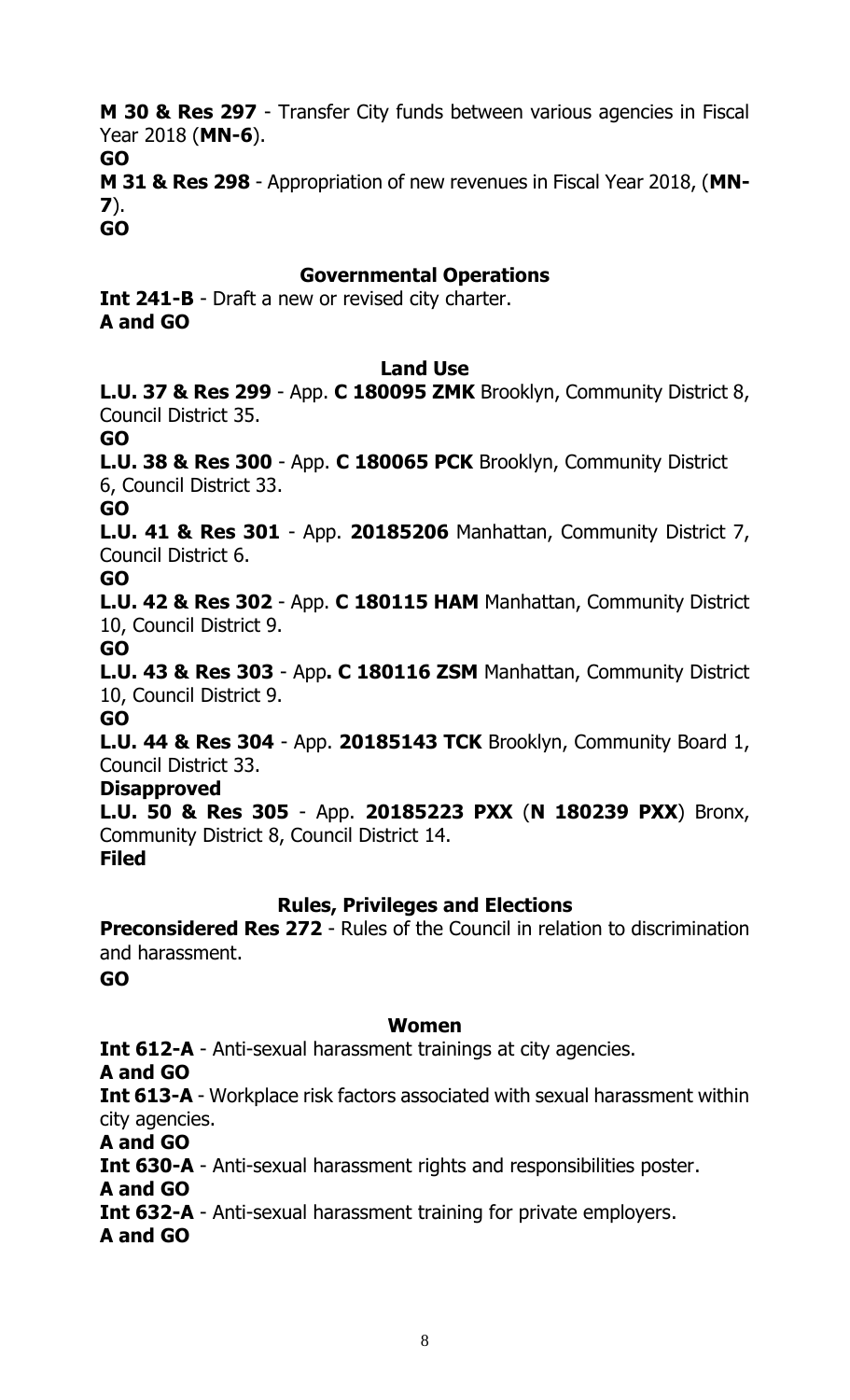**M 30 & Res 297** - Transfer City funds between various agencies in Fiscal Year 2018 (**MN-6**).

**GO**

**M 31 & Res 298** - Appropriation of new revenues in Fiscal Year 2018, (**MN-7**).

**GO**

# **Governmental Operations**

**Int 241-B** - Draft a new or revised city charter. **A and GO**

#### **Land Use**

**L.U. 37 & Res 299** - App. **C 180095 ZMK** Brooklyn, Community District 8, Council District 35.

**GO**

**L.U. 38 & Res 300** - App. **C 180065 PCK** Brooklyn, Community District 6, Council District 33.

#### **GO**

**L.U. 41 & Res 301** - App. **20185206** Manhattan, Community District 7, Council District 6.

**GO**

**L.U. 42 & Res 302** - App. **C 180115 HAM** Manhattan, Community District 10, Council District 9.

**GO**

**L.U. 43 & Res 303** - App**. C 180116 ZSM** Manhattan, Community District 10, Council District 9.

#### **GO**

**L.U. 44 & Res 304** - App. **20185143 TCK** Brooklyn, Community Board 1, Council District 33.

# **Disapproved**

**L.U. 50 & Res 305** - App. **20185223 PXX** (**N 180239 PXX**) Bronx, Community District 8, Council District 14.

# **Filed**

# **Rules, Privileges and Elections**

**Preconsidered Res 272** - Rules of the Council in relation to discrimination and harassment.

**GO**

# **Women**

**Int 612-A** - Anti-sexual harassment trainings at city agencies.

**A and GO**

**Int 613-A** - Workplace risk factors associated with sexual harassment within city agencies.

**A and GO**

**Int 630-A** - Anti-sexual harassment rights and responsibilities poster.

**A and GO**

**Int 632-A** - Anti-sexual harassment training for private employers.

**A and GO**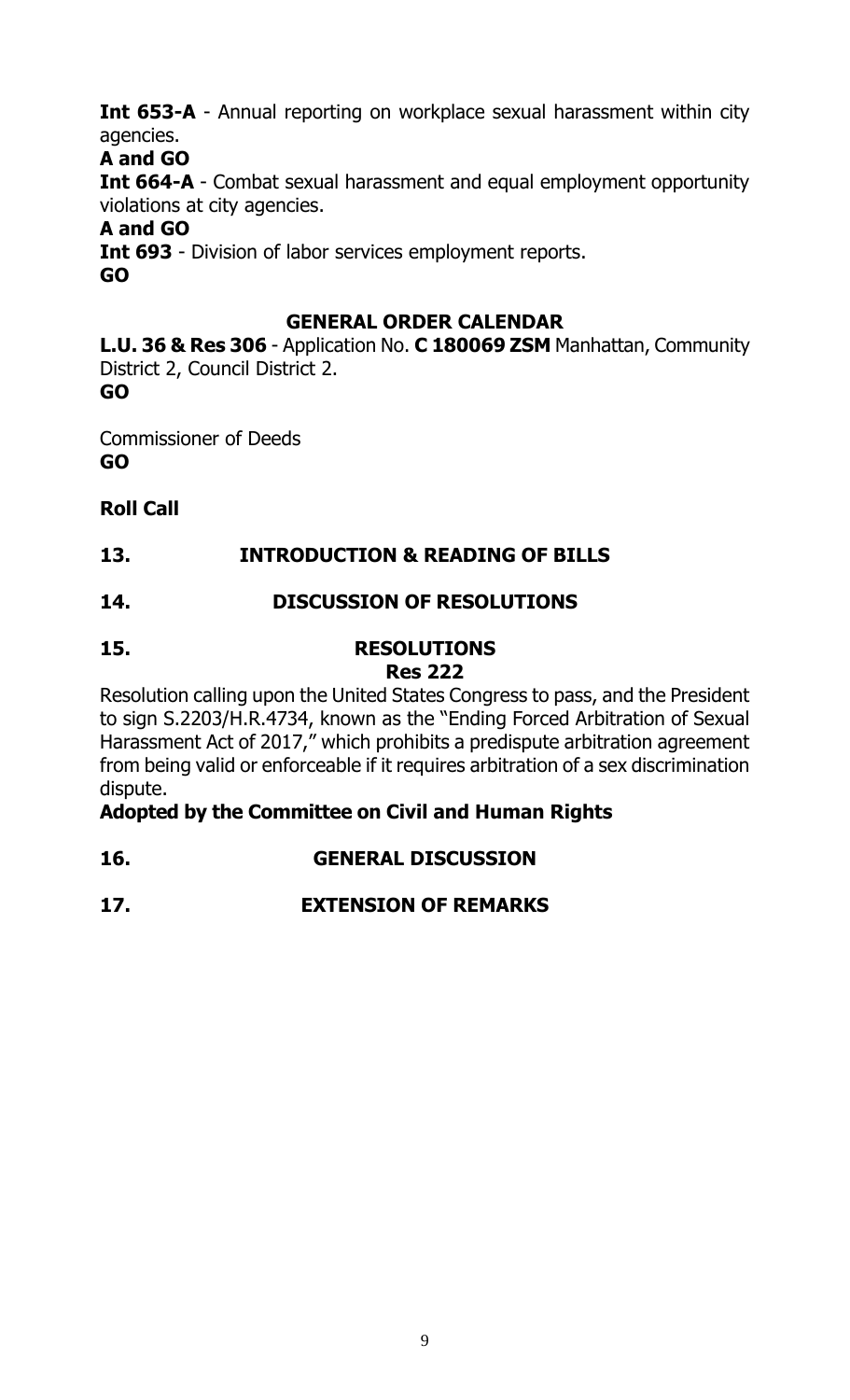**Int 653-A** - Annual reporting on workplace sexual harassment within city agencies.

# **A and GO**

**Int 664-A** - Combat sexual harassment and equal employment opportunity violations at city agencies.

# **A and GO**

**Int 693** - Division of labor services employment reports. **GO**

# **GENERAL ORDER CALENDAR**

**L.U. 36 & Res 306** - Application No. **C 180069 ZSM** Manhattan, Community District 2, Council District 2.

**GO**

Commissioner of Deeds

**GO**

# **Roll Call**

# **13. INTRODUCTION & READING OF BILLS**

# **14. DISCUSSION OF RESOLUTIONS**

# **15. RESOLUTIONS Res 222**

Resolution calling upon the United States Congress to pass, and the President to sign S.2203/H.R.4734, known as the "Ending Forced Arbitration of Sexual Harassment Act of 2017," which prohibits a predispute arbitration agreement from being valid or enforceable if it requires arbitration of a sex discrimination dispute.

# **Adopted by the Committee on Civil and Human Rights**

# **16. GENERAL DISCUSSION**

# **17. EXTENSION OF REMARKS**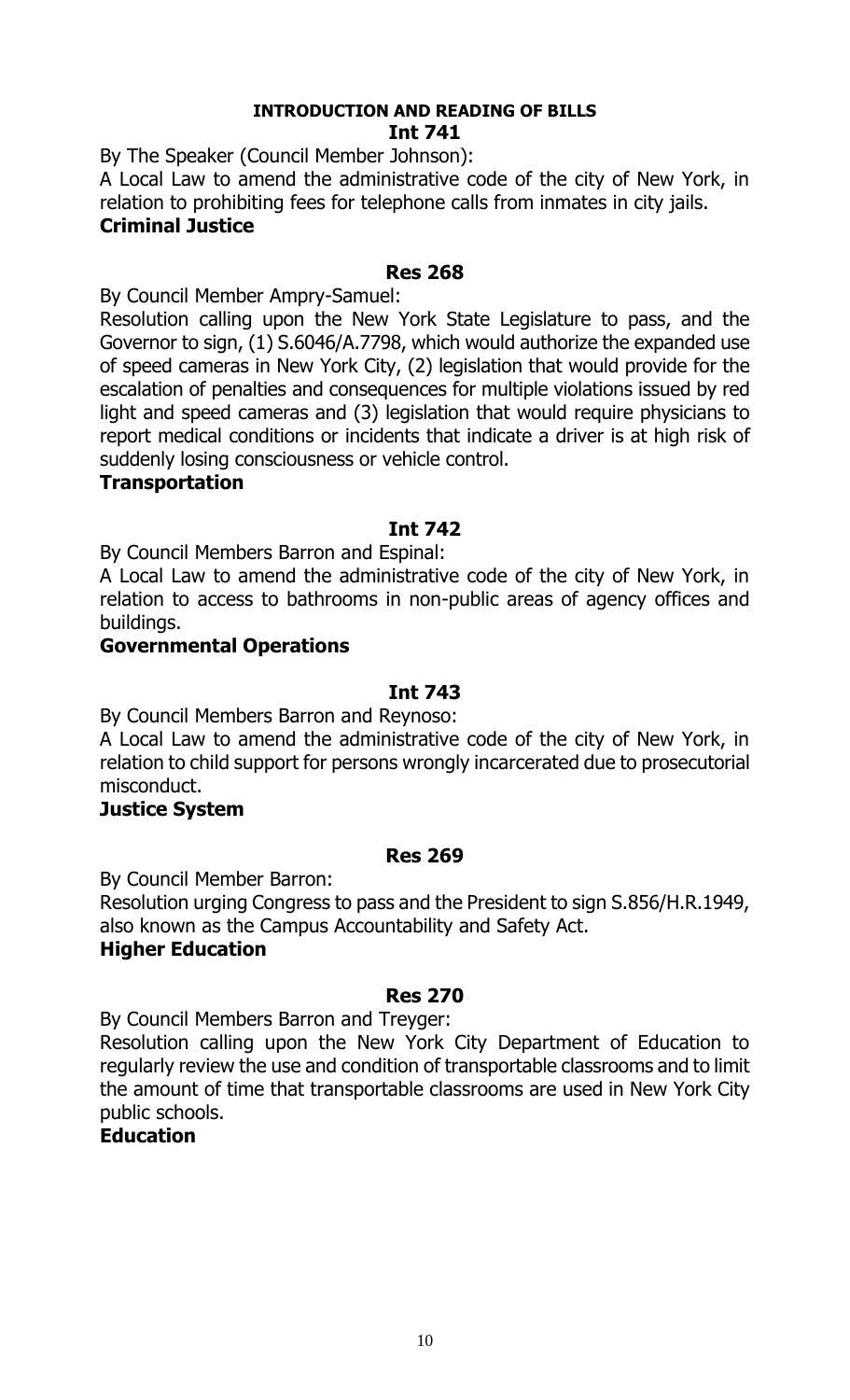#### **INTRODUCTION AND READING OF BILLS Int 741**

By The Speaker (Council Member Johnson):

A Local Law to amend the administrative code of the city of New York, in relation to prohibiting fees for telephone calls from inmates in city jails. **Criminal Justice**

### **Res 268**

By Council Member Ampry-Samuel:

Resolution calling upon the New York State Legislature to pass, and the Governor to sign, (1) S.6046/A.7798, which would authorize the expanded use of speed cameras in New York City, (2) legislation that would provide for the escalation of penalties and consequences for multiple violations issued by red light and speed cameras and (3) legislation that would require physicians to report medical conditions or incidents that indicate a driver is at high risk of suddenly losing consciousness or vehicle control.

#### **Transportation**

# **Int 742**

By Council Members Barron and Espinal:

A Local Law to amend the administrative code of the city of New York, in relation to access to bathrooms in non-public areas of agency offices and buildings.

#### **Governmental Operations**

#### **Int 743**

By Council Members Barron and Reynoso:

A Local Law to amend the administrative code of the city of New York, in relation to child support for persons wrongly incarcerated due to prosecutorial misconduct.

#### **Justice System**

#### **Res 269**

By Council Member Barron:

Resolution urging Congress to pass and the President to sign S.856/H.R.1949, also known as the Campus Accountability and Safety Act. **Higher Education**

# **Res 270**

By Council Members Barron and Treyger:

Resolution calling upon the New York City Department of Education to regularly review the use and condition of transportable classrooms and to limit the amount of time that transportable classrooms are used in New York City public schools.

#### **Education**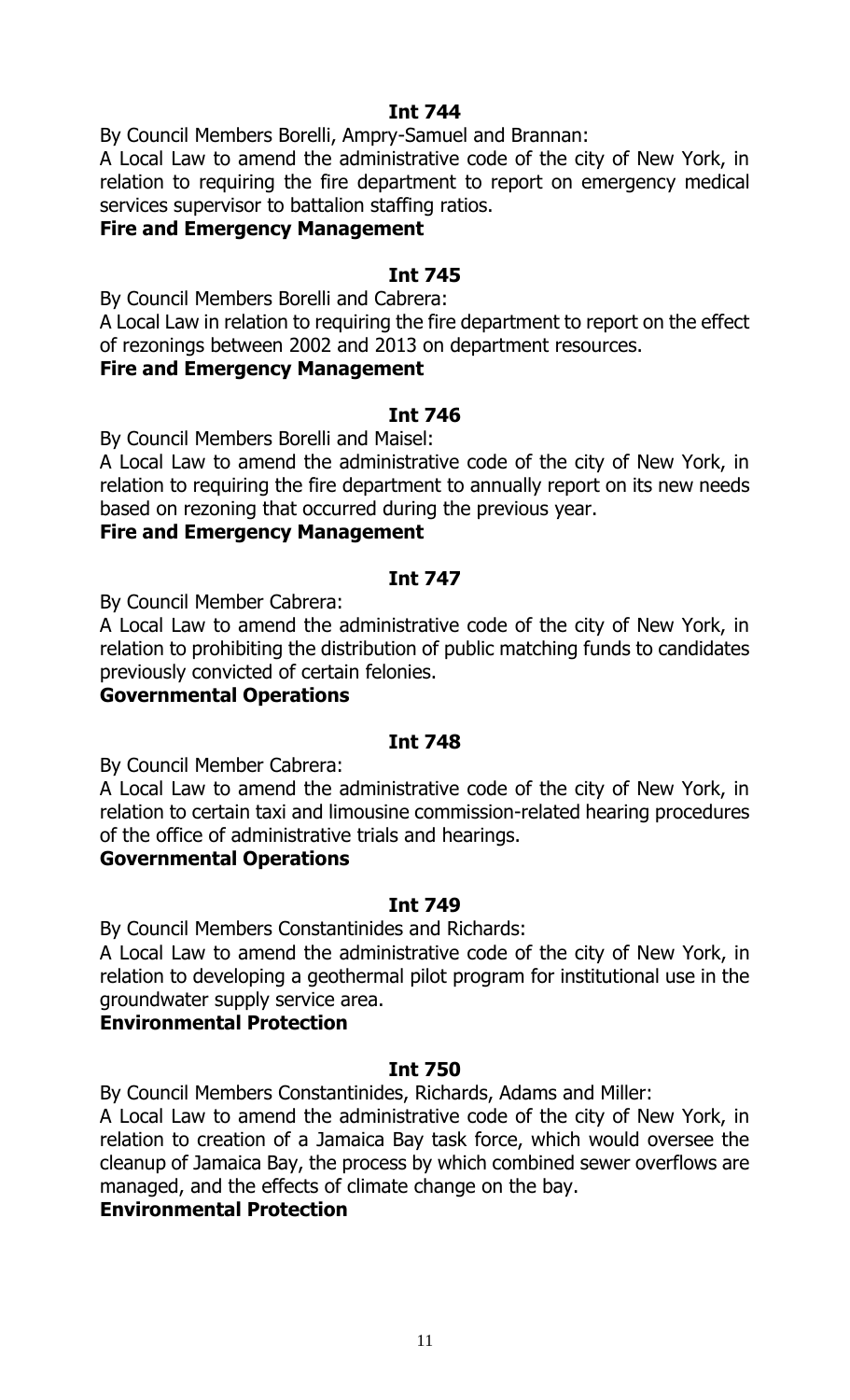By Council Members Borelli, Ampry-Samuel and Brannan:

A Local Law to amend the administrative code of the city of New York, in relation to requiring the fire department to report on emergency medical services supervisor to battalion staffing ratios.

#### **Fire and Emergency Management**

#### **Int 745**

By Council Members Borelli and Cabrera:

A Local Law in relation to requiring the fire department to report on the effect of rezonings between 2002 and 2013 on department resources.

#### **Fire and Emergency Management**

# **Int 746**

By Council Members Borelli and Maisel:

A Local Law to amend the administrative code of the city of New York, in relation to requiring the fire department to annually report on its new needs based on rezoning that occurred during the previous year.

#### **Fire and Emergency Management**

#### **Int 747**

By Council Member Cabrera:

A Local Law to amend the administrative code of the city of New York, in relation to prohibiting the distribution of public matching funds to candidates previously convicted of certain felonies.

# **Governmental Operations**

#### **Int 748**

By Council Member Cabrera:

A Local Law to amend the administrative code of the city of New York, in relation to certain taxi and limousine commission-related hearing procedures of the office of administrative trials and hearings.

#### **Governmental Operations**

#### **Int 749**

By Council Members Constantinides and Richards:

A Local Law to amend the administrative code of the city of New York, in relation to developing a geothermal pilot program for institutional use in the groundwater supply service area.

# **Environmental Protection**

#### **Int 750**

By Council Members Constantinides, Richards, Adams and Miller:

A Local Law to amend the administrative code of the city of New York, in relation to creation of a Jamaica Bay task force, which would oversee the cleanup of Jamaica Bay, the process by which combined sewer overflows are managed, and the effects of climate change on the bay.

#### **Environmental Protection**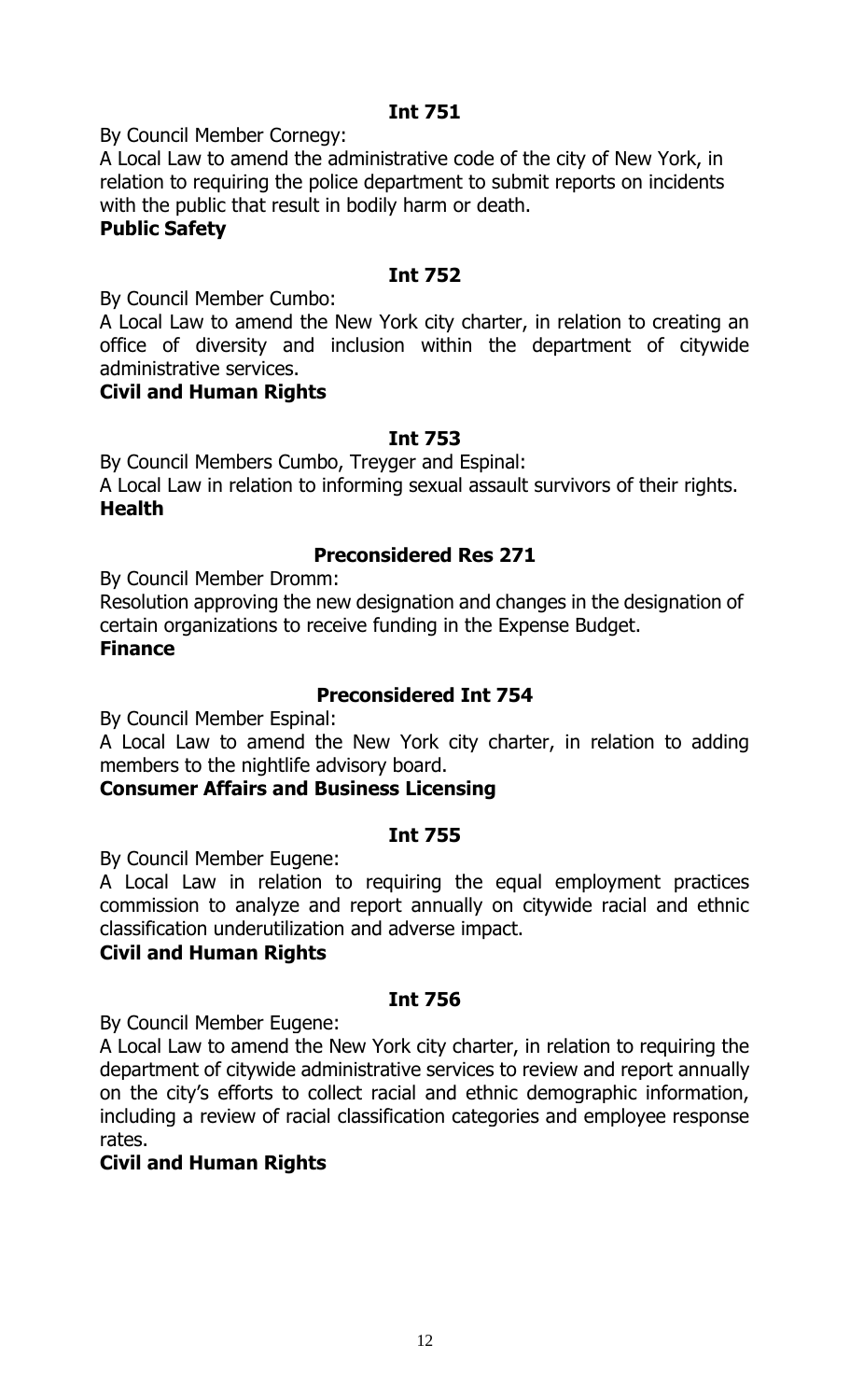By Council Member Cornegy:

A Local Law to amend the administrative code of the city of New York, in relation to requiring the police department to submit reports on incidents with the public that result in bodily harm or death.

### **Public Safety**

# **Int 752**

By Council Member Cumbo:

A Local Law to amend the New York city charter, in relation to creating an office of diversity and inclusion within the department of citywide administrative services.

#### **Civil and Human Rights**

# **Int 753**

By Council Members Cumbo, Treyger and Espinal:

A Local Law in relation to informing sexual assault survivors of their rights. **Health**

# **Preconsidered Res 271**

By Council Member Dromm:

Resolution approving the new designation and changes in the designation of certain organizations to receive funding in the Expense Budget.

# **Finance**

# **Preconsidered Int 754**

By Council Member Espinal:

A Local Law to amend the New York city charter, in relation to adding members to the nightlife advisory board.

# **Consumer Affairs and Business Licensing**

# **Int 755**

By Council Member Eugene:

A Local Law in relation to requiring the equal employment practices commission to analyze and report annually on citywide racial and ethnic classification underutilization and adverse impact.

#### **Civil and Human Rights**

# **Int 756**

By Council Member Eugene:

A Local Law to amend the New York city charter, in relation to requiring the department of citywide administrative services to review and report annually on the city's efforts to collect racial and ethnic demographic information, including a review of racial classification categories and employee response rates.

# **Civil and Human Rights**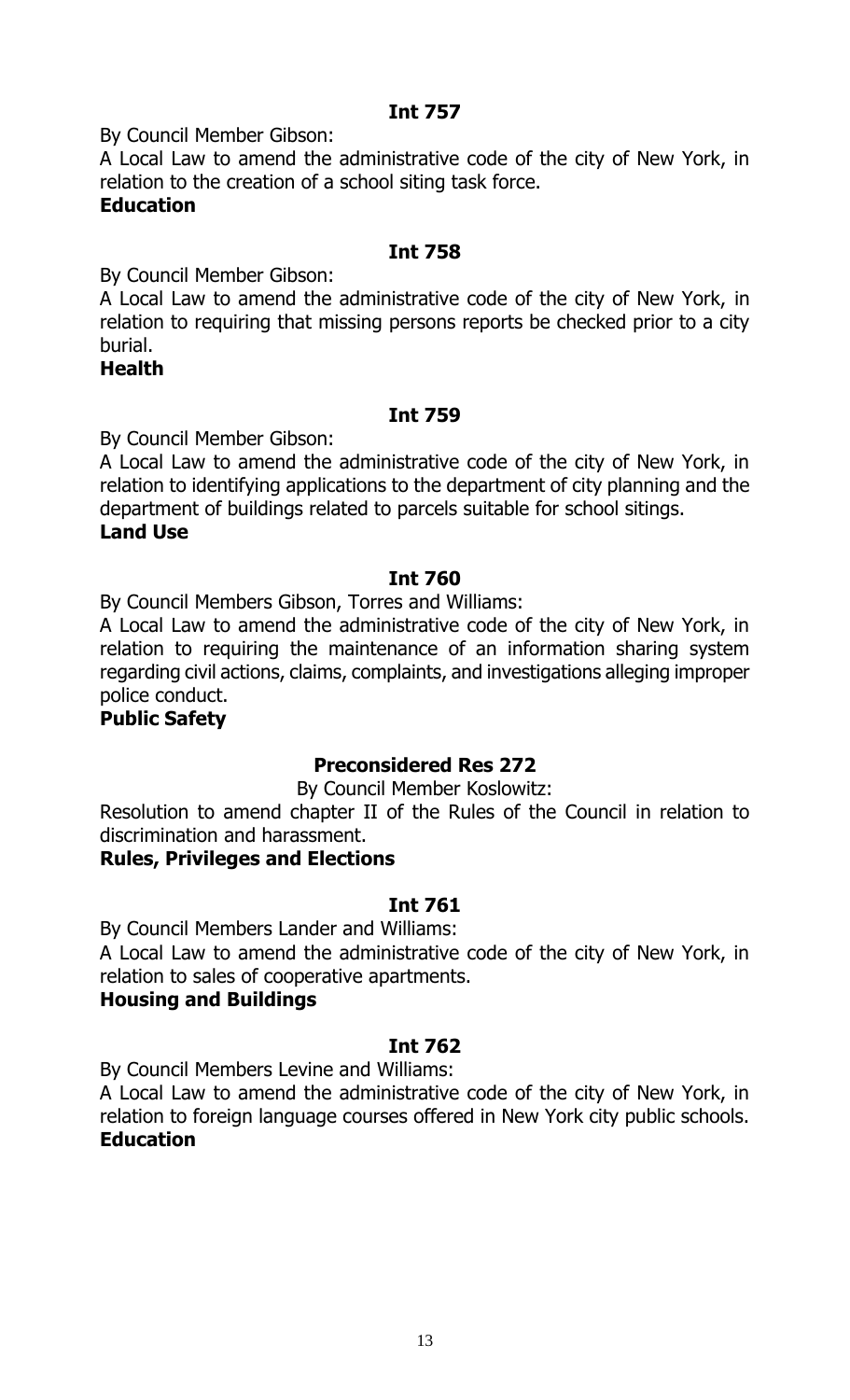By Council Member Gibson:

A Local Law to amend the administrative code of the city of New York, in relation to the creation of a school siting task force. **Education**

#### **Int 758**

By Council Member Gibson:

A Local Law to amend the administrative code of the city of New York, in relation to requiring that missing persons reports be checked prior to a city burial.

#### **Health**

#### **Int 759**

By Council Member Gibson:

A Local Law to amend the administrative code of the city of New York, in relation to identifying applications to the department of city planning and the department of buildings related to parcels suitable for school sitings. **Land Use**

#### **Int 760**

By Council Members Gibson, Torres and Williams:

A Local Law to amend the administrative code of the city of New York, in relation to requiring the maintenance of an information sharing system regarding civil actions, claims, complaints, and investigations alleging improper police conduct.

#### **Public Safety**

# **Preconsidered Res 272**

By Council Member Koslowitz:

Resolution to amend chapter II of the Rules of the Council in relation to discrimination and harassment.

#### **Rules, Privileges and Elections**

#### **Int 761**

By Council Members Lander and Williams:

A Local Law to amend the administrative code of the city of New York, in relation to sales of cooperative apartments.

#### **Housing and Buildings**

#### **Int 762**

By Council Members Levine and Williams:

A Local Law to amend the administrative code of the city of New York, in relation to foreign language courses offered in New York city public schools. **Education**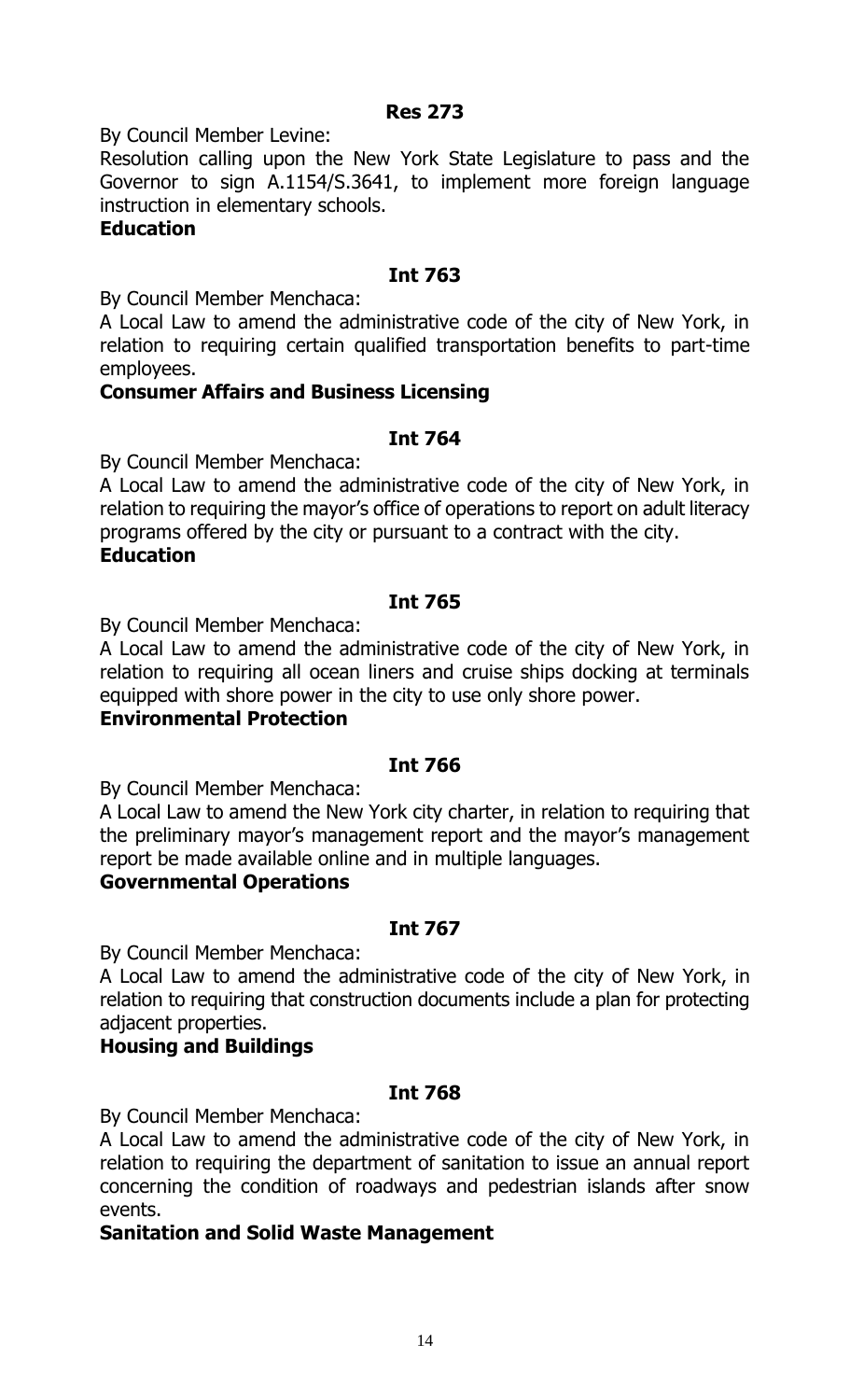By Council Member Levine:

Resolution calling upon the New York State Legislature to pass and the Governor to sign A.1154/S.3641, to implement more foreign language instruction in elementary schools.

#### **Education**

#### **Int 763**

By Council Member Menchaca:

A Local Law to amend the administrative code of the city of New York, in relation to requiring certain qualified transportation benefits to part-time employees.

#### **Consumer Affairs and Business Licensing**

#### **Int 764**

By Council Member Menchaca:

A Local Law to amend the administrative code of the city of New York, in relation to requiring the mayor's office of operations to report on adult literacy programs offered by the city or pursuant to a contract with the city. **Education**

#### **Int 765**

By Council Member Menchaca:

A Local Law to amend the administrative code of the city of New York, in relation to requiring all ocean liners and cruise ships docking at terminals equipped with shore power in the city to use only shore power.

#### **Environmental Protection**

#### **Int 766**

By Council Member Menchaca:

A Local Law to amend the New York city charter, in relation to requiring that the preliminary mayor's management report and the mayor's management report be made available online and in multiple languages.

#### **Governmental Operations**

#### **Int 767**

By Council Member Menchaca:

A Local Law to amend the administrative code of the city of New York, in relation to requiring that construction documents include a plan for protecting adjacent properties.

#### **Housing and Buildings**

#### **Int 768**

By Council Member Menchaca:

A Local Law to amend the administrative code of the city of New York, in relation to requiring the department of sanitation to issue an annual report concerning the condition of roadways and pedestrian islands after snow events.

#### **Sanitation and Solid Waste Management**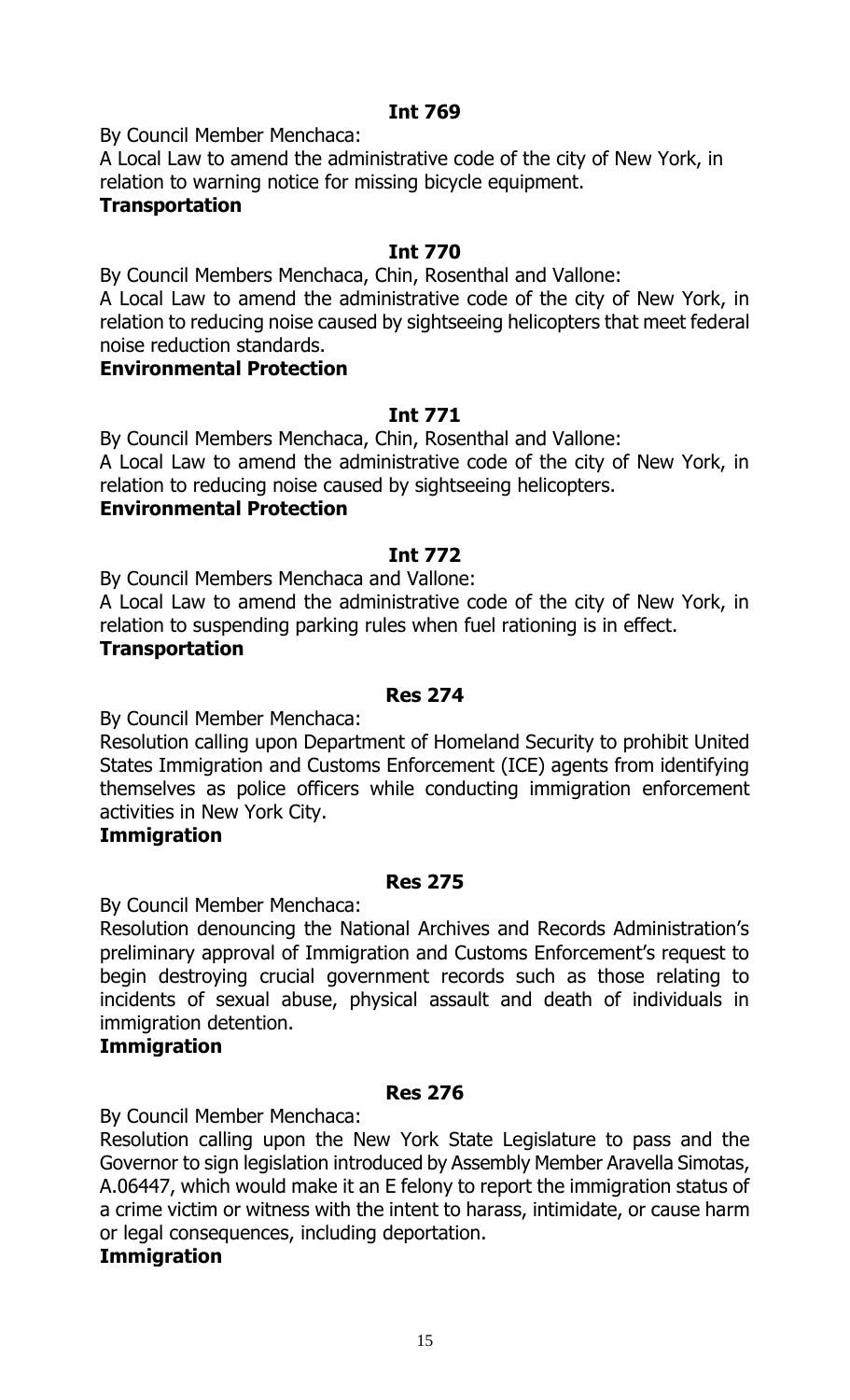By Council Member Menchaca:

A Local Law to amend the administrative code of the city of New York, in relation to warning notice for missing bicycle equipment.

# **Transportation**

# **Int 770**

By Council Members Menchaca, Chin, Rosenthal and Vallone:

A Local Law to amend the administrative code of the city of New York, in relation to reducing noise caused by sightseeing helicopters that meet federal noise reduction standards.

#### **Environmental Protection**

# **Int 771**

By Council Members Menchaca, Chin, Rosenthal and Vallone: A Local Law to amend the administrative code of the city of New York, in relation to reducing noise caused by sightseeing helicopters.

# **Environmental Protection**

# **Int 772**

By Council Members Menchaca and Vallone:

A Local Law to amend the administrative code of the city of New York, in relation to suspending parking rules when fuel rationing is in effect.

#### **Transportation**

### **Res 274**

By Council Member Menchaca:

Resolution calling upon Department of Homeland Security to prohibit United States Immigration and Customs Enforcement (ICE) agents from identifying themselves as police officers while conducting immigration enforcement activities in New York City.

#### **Immigration**

#### **Res 275**

By Council Member Menchaca:

Resolution denouncing the National Archives and Records Administration's preliminary approval of Immigration and Customs Enforcement's request to begin destroying crucial government records such as those relating to incidents of sexual abuse, physical assault and death of individuals in immigration detention.

# **Immigration**

#### **Res 276**

By Council Member Menchaca:

Resolution calling upon the New York State Legislature to pass and the Governor to sign legislation introduced by Assembly Member Aravella Simotas, A.06447, which would make it an E felony to report the immigration status of a crime victim or witness with the intent to harass, intimidate, or cause harm or legal consequences, including deportation.

#### **Immigration**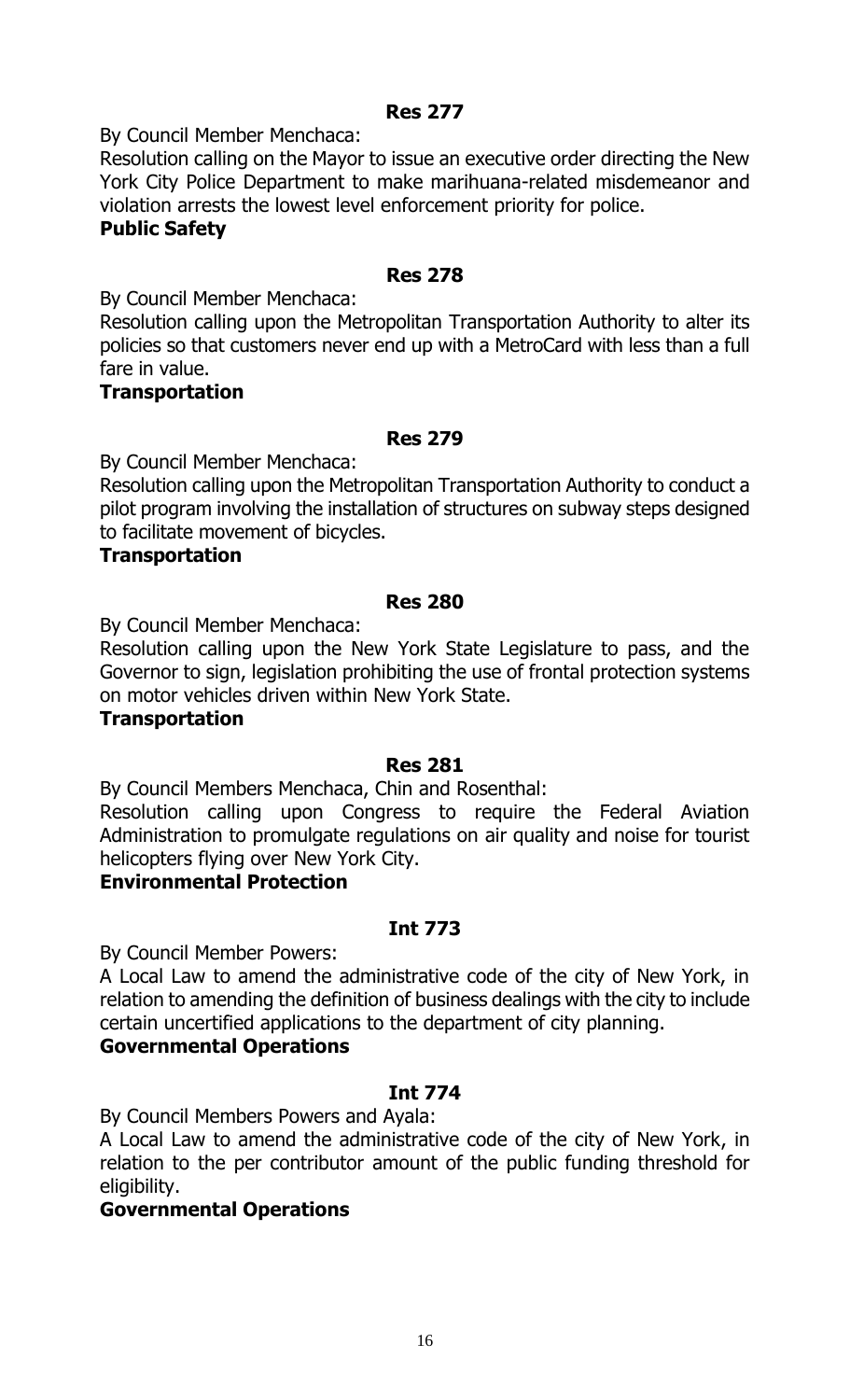# **Res 277**

By Council Member Menchaca:

Resolution calling on the Mayor to issue an executive order directing the New York City Police Department to make marihuana-related misdemeanor and violation arrests the lowest level enforcement priority for police.

#### **Public Safety**

### **Res 278**

By Council Member Menchaca:

Resolution calling upon the Metropolitan Transportation Authority to alter its policies so that customers never end up with a MetroCard with less than a full fare in value.

# **Transportation**

# **Res 279**

By Council Member Menchaca:

Resolution calling upon the Metropolitan Transportation Authority to conduct a pilot program involving the installation of structures on subway steps designed to facilitate movement of bicycles.

#### **Transportation**

#### **Res 280**

By Council Member Menchaca:

Resolution calling upon the New York State Legislature to pass, and the Governor to sign, legislation prohibiting the use of frontal protection systems on motor vehicles driven within New York State.

#### **Transportation**

#### **Res 281**

By Council Members Menchaca, Chin and Rosenthal:

Resolution calling upon Congress to require the Federal Aviation Administration to promulgate regulations on air quality and noise for tourist helicopters flying over New York City.

### **Environmental Protection**

#### **Int 773**

By Council Member Powers:

A Local Law to amend the administrative code of the city of New York, in relation to amending the definition of business dealings with the city to include certain uncertified applications to the department of city planning.

#### **Governmental Operations**

#### **Int 774**

By Council Members Powers and Ayala:

A Local Law to amend the administrative code of the city of New York, in relation to the per contributor amount of the public funding threshold for eligibility.

#### **Governmental Operations**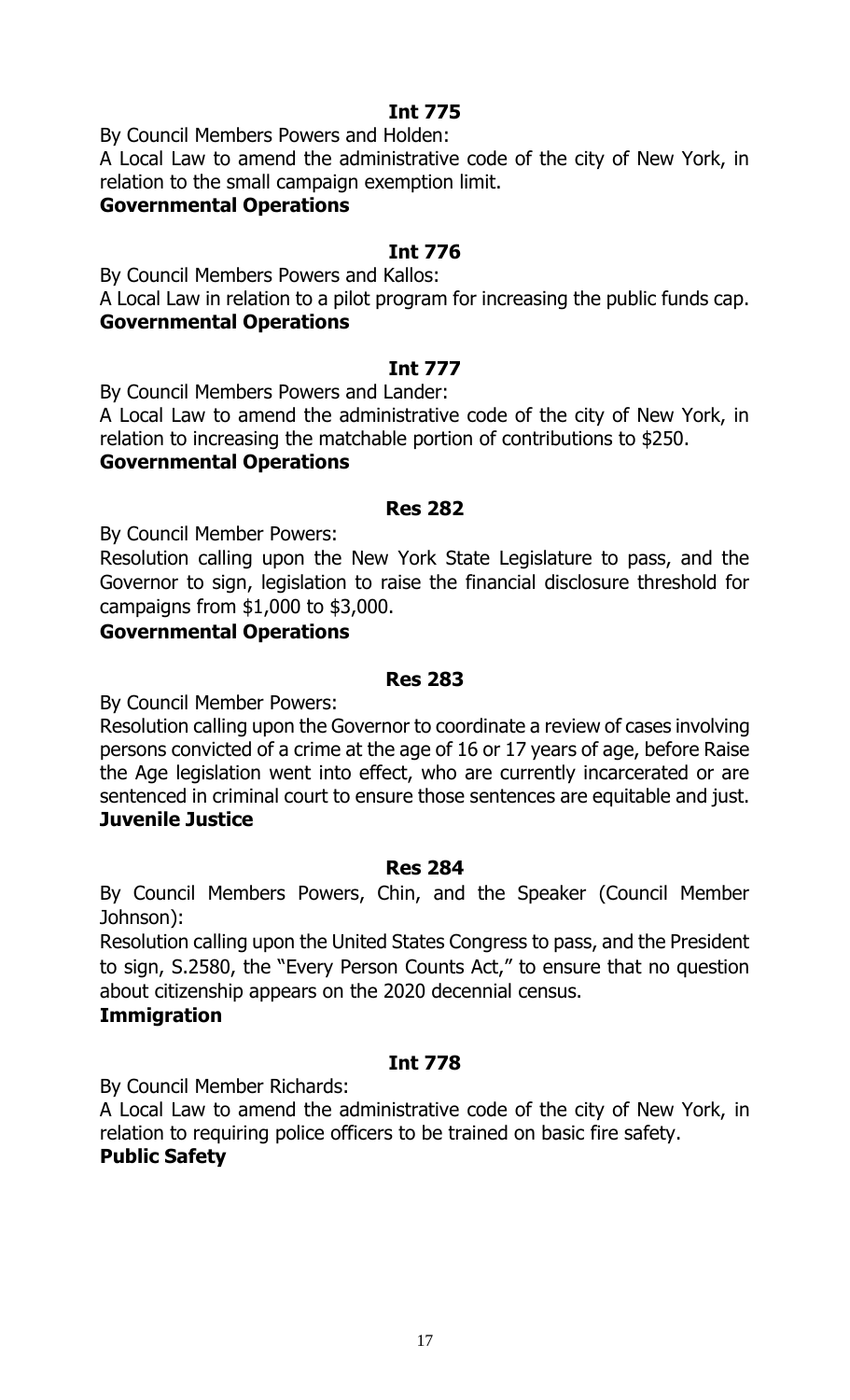By Council Members Powers and Holden:

A Local Law to amend the administrative code of the city of New York, in relation to the small campaign exemption limit.

# **Governmental Operations**

# **Int 776**

By Council Members Powers and Kallos:

A Local Law in relation to a pilot program for increasing the public funds cap. **Governmental Operations**

# **Int 777**

By Council Members Powers and Lander:

A Local Law to amend the administrative code of the city of New York, in relation to increasing the matchable portion of contributions to \$250.

# **Governmental Operations**

#### **Res 282**

By Council Member Powers:

Resolution calling upon the New York State Legislature to pass, and the Governor to sign, legislation to raise the financial disclosure threshold for campaigns from \$1,000 to \$3,000.

# **Governmental Operations**

# **Res 283**

By Council Member Powers:

Resolution calling upon the Governor to coordinate a review of cases involving persons convicted of a crime at the age of 16 or 17 years of age, before Raise the Age legislation went into effect, who are currently incarcerated or are sentenced in criminal court to ensure those sentences are equitable and just. **Juvenile Justice**

#### **Res 284**

By Council Members Powers, Chin, and the Speaker (Council Member Johnson):

Resolution calling upon the United States Congress to pass, and the President to sign, S.2580, the "Every Person Counts Act," to ensure that no question about citizenship appears on the 2020 decennial census.

#### **Immigration**

# **Int 778**

By Council Member Richards:

A Local Law to amend the administrative code of the city of New York, in relation to requiring police officers to be trained on basic fire safety. **Public Safety**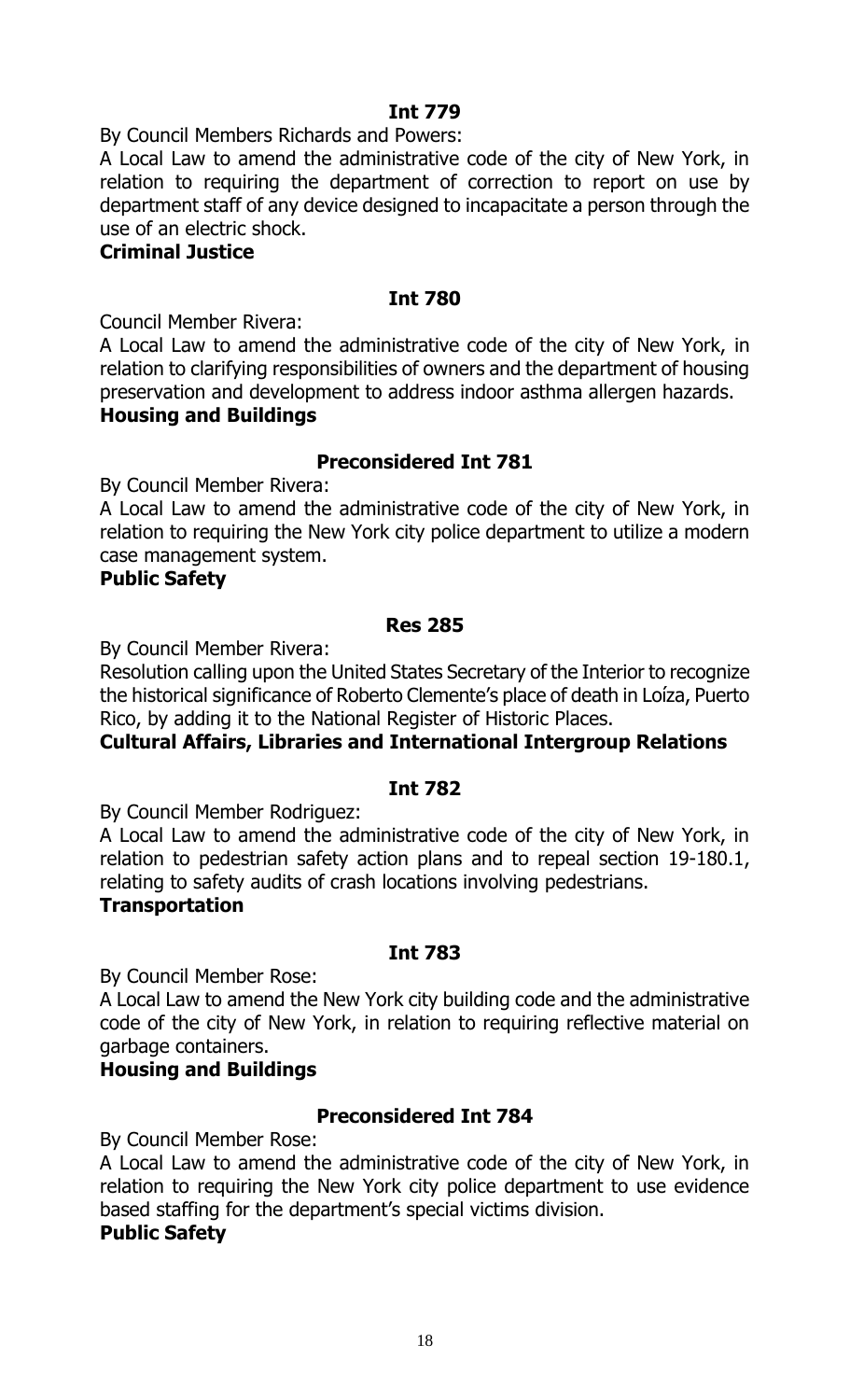By Council Members Richards and Powers:

A Local Law to amend the administrative code of the city of New York, in relation to requiring the department of correction to report on use by department staff of any device designed to incapacitate a person through the use of an electric shock.

### **Criminal Justice**

#### **Int 780**

Council Member Rivera:

A Local Law to amend the administrative code of the city of New York, in relation to clarifying responsibilities of owners and the department of housing preservation and development to address indoor asthma allergen hazards. **Housing and Buildings**

#### **Preconsidered Int 781**

By Council Member Rivera:

A Local Law to amend the administrative code of the city of New York, in relation to requiring the New York city police department to utilize a modern case management system.

#### **Public Safety**

#### **Res 285**

By Council Member Rivera:

Resolution calling upon the United States Secretary of the Interior to recognize the historical significance of Roberto Clemente's place of death in Loíza, Puerto Rico, by adding it to the National Register of Historic Places.

#### **Cultural Affairs, Libraries and International Intergroup Relations**

#### **Int 782**

By Council Member Rodriguez:

A Local Law to amend the administrative code of the city of New York, in relation to pedestrian safety action plans and to repeal section 19-180.1, relating to safety audits of crash locations involving pedestrians. **Transportation**

#### **Int 783**

By Council Member Rose:

A Local Law to amend the New York city building code and the administrative code of the city of New York, in relation to requiring reflective material on garbage containers.

#### **Housing and Buildings**

#### **Preconsidered Int 784**

By Council Member Rose:

A Local Law to amend the administrative code of the city of New York, in relation to requiring the New York city police department to use evidence based staffing for the department's special victims division.

#### **Public Safety**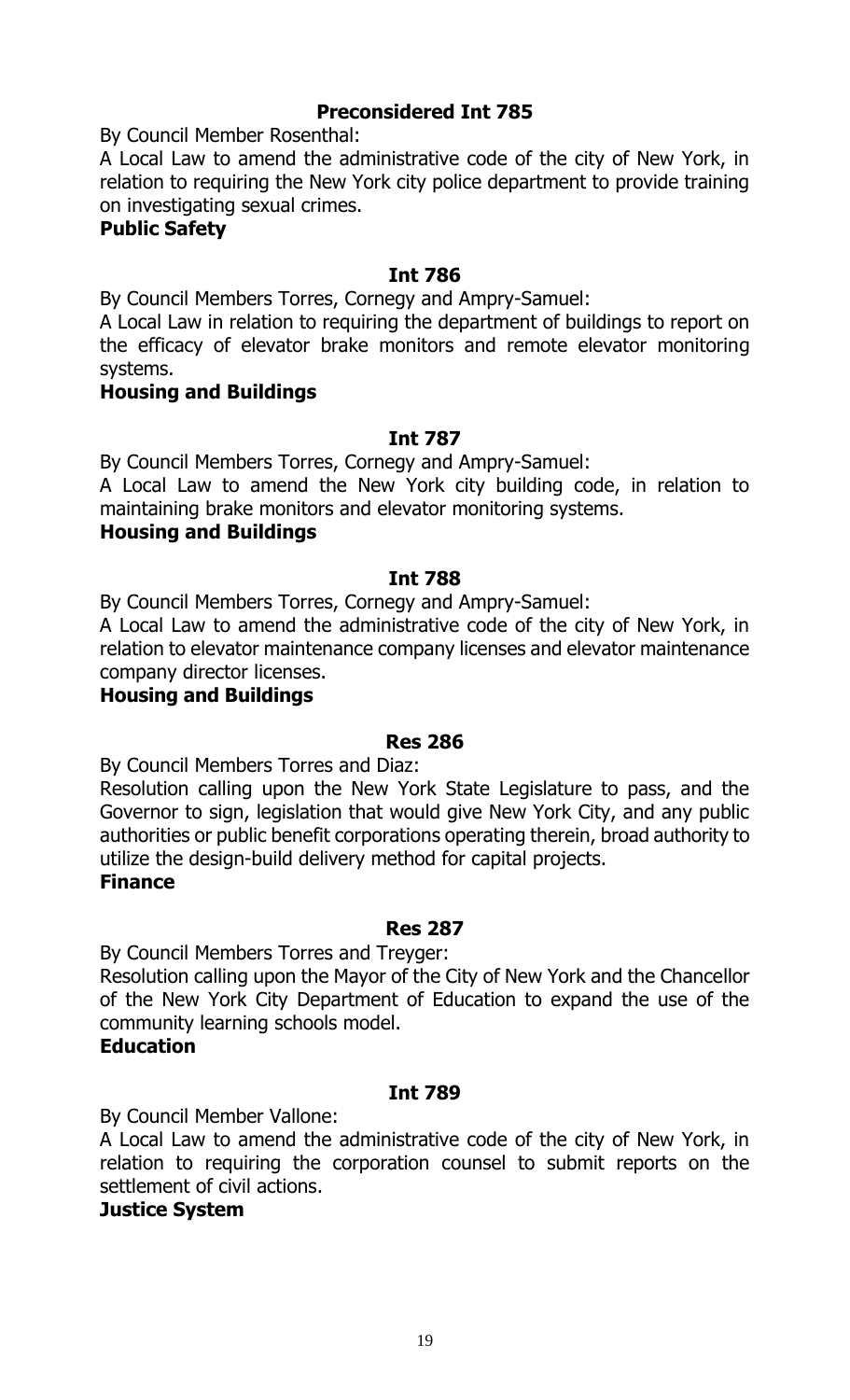# **Preconsidered Int 785**

By Council Member Rosenthal:

A Local Law to amend the administrative code of the city of New York, in relation to requiring the New York city police department to provide training on investigating sexual crimes.

# **Public Safety**

### **Int 786**

By Council Members Torres, Cornegy and Ampry-Samuel:

A Local Law in relation to requiring the department of buildings to report on the efficacy of elevator brake monitors and remote elevator monitoring systems.

#### **Housing and Buildings**

# **Int 787**

By Council Members Torres, Cornegy and Ampry-Samuel:

A Local Law to amend the New York city building code, in relation to maintaining brake monitors and elevator monitoring systems.

# **Housing and Buildings**

#### **Int 788**

By Council Members Torres, Cornegy and Ampry-Samuel:

A Local Law to amend the administrative code of the city of New York, in relation to elevator maintenance company licenses and elevator maintenance company director licenses.

### **Housing and Buildings**

#### **Res 286**

By Council Members Torres and Diaz:

Resolution calling upon the New York State Legislature to pass, and the Governor to sign, legislation that would give New York City, and any public authorities or public benefit corporations operating therein, broad authority to utilize the design-build delivery method for capital projects.

# **Finance**

#### **Res 287**

By Council Members Torres and Treyger:

Resolution calling upon the Mayor of the City of New York and the Chancellor of the New York City Department of Education to expand the use of the community learning schools model.

#### **Education**

#### **Int 789**

By Council Member Vallone:

A Local Law to amend the administrative code of the city of New York, in relation to requiring the corporation counsel to submit reports on the settlement of civil actions.

#### **Justice System**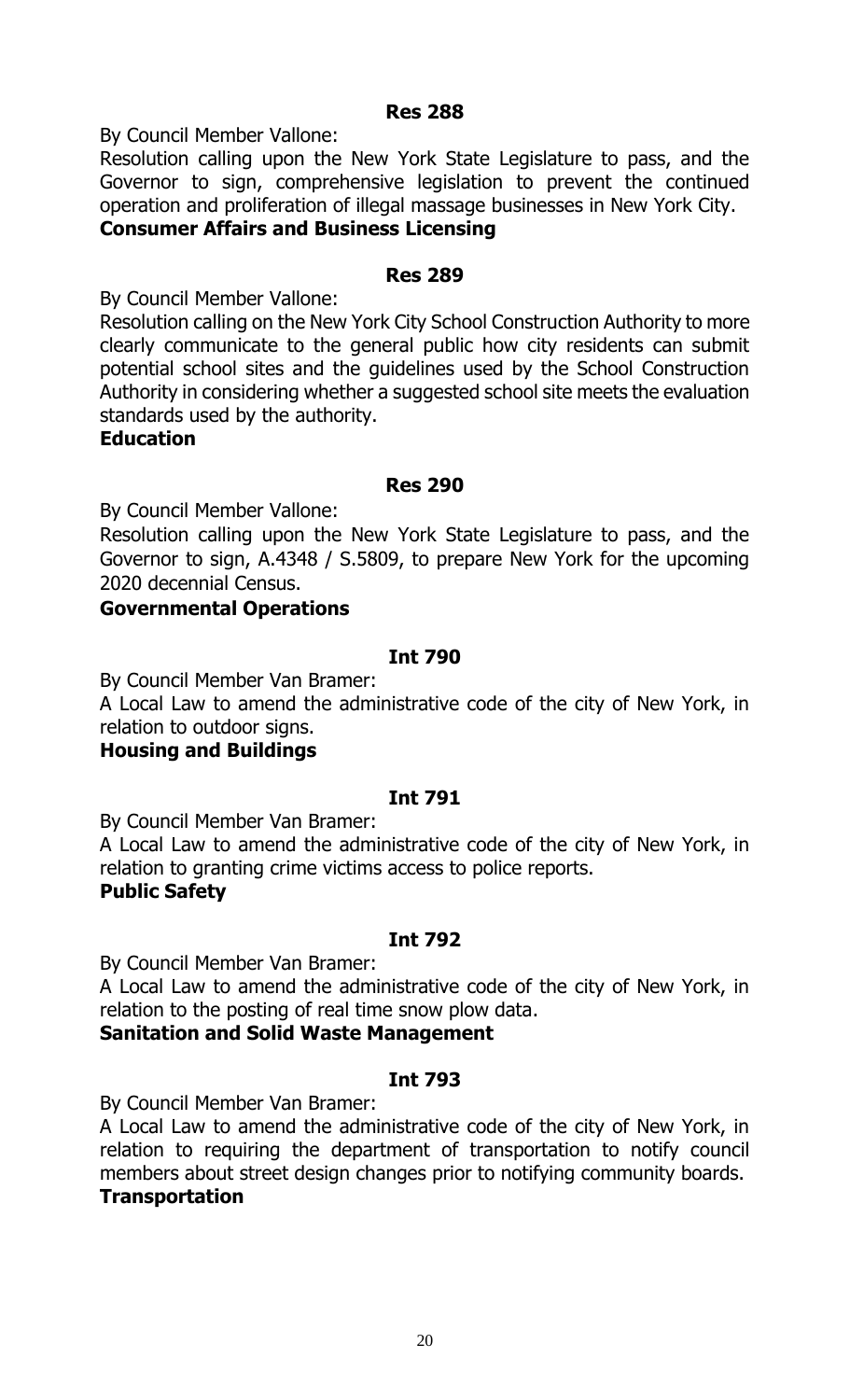#### **Res 288**

By Council Member Vallone:

Resolution calling upon the New York State Legislature to pass, and the Governor to sign, comprehensive legislation to prevent the continued operation and proliferation of illegal massage businesses in New York City.

# **Consumer Affairs and Business Licensing**

#### **Res 289**

By Council Member Vallone:

Resolution calling on the New York City School Construction Authority to more clearly communicate to the general public how city residents can submit potential school sites and the guidelines used by the School Construction Authority in considering whether a suggested school site meets the evaluation standards used by the authority.

**Education**

#### **Res 290**

By Council Member Vallone:

Resolution calling upon the New York State Legislature to pass, and the Governor to sign, A.4348 / S.5809, to prepare New York for the upcoming 2020 decennial Census.

#### **Governmental Operations**

#### **Int 790**

By Council Member Van Bramer:

A Local Law to amend the administrative code of the city of New York, in relation to outdoor signs.

**Housing and Buildings**

#### **Int 791**

By Council Member Van Bramer:

A Local Law to amend the administrative code of the city of New York, in relation to granting crime victims access to police reports.

#### **Public Safety**

#### **Int 792**

By Council Member Van Bramer:

A Local Law to amend the administrative code of the city of New York, in relation to the posting of real time snow plow data.

**Sanitation and Solid Waste Management**

#### **Int 793**

By Council Member Van Bramer:

A Local Law to amend the administrative code of the city of New York, in relation to requiring the department of transportation to notify council members about street design changes prior to notifying community boards. **Transportation**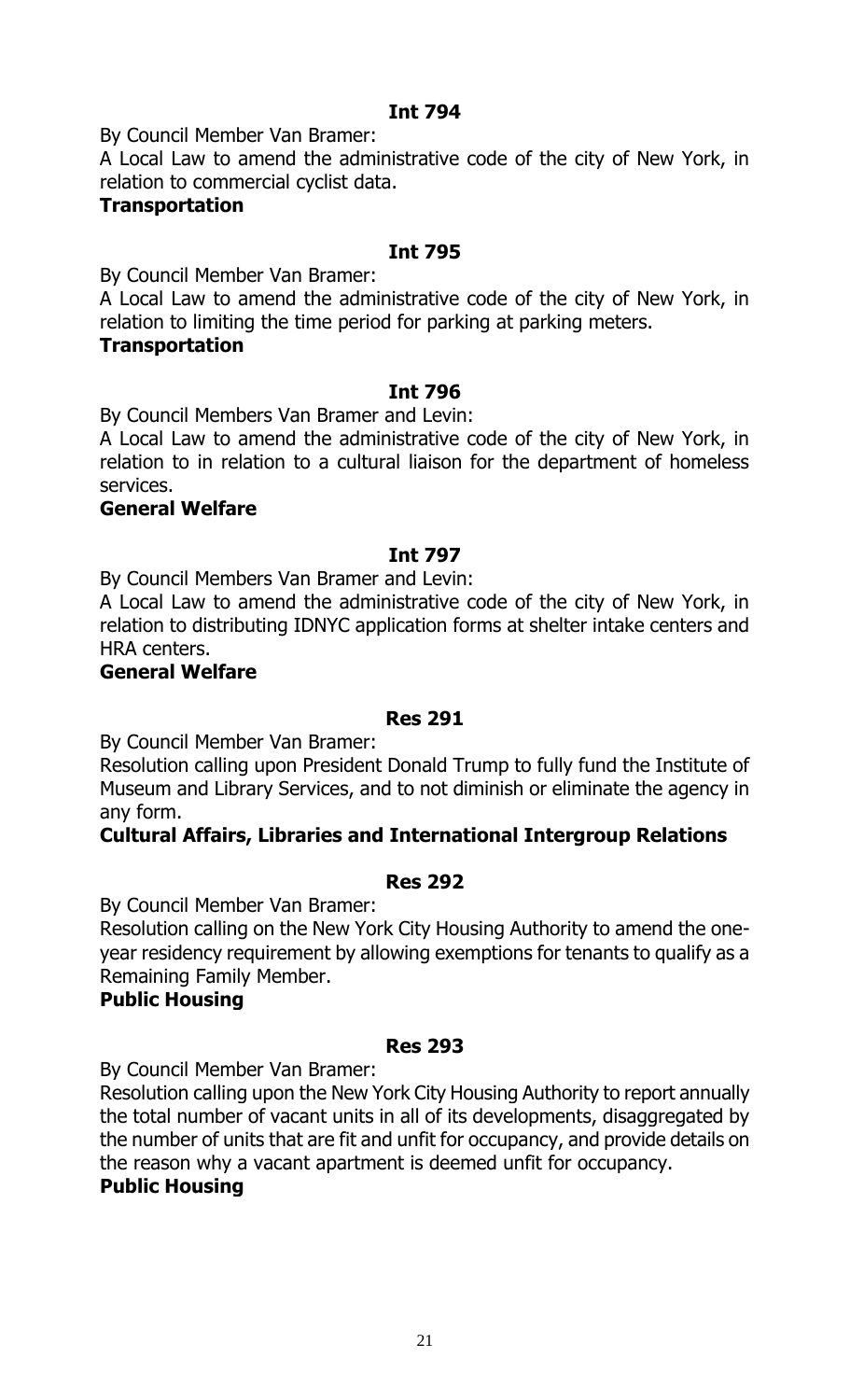By Council Member Van Bramer:

A Local Law to amend the administrative code of the city of New York, in relation to commercial cyclist data.

#### **Transportation**

#### **Int 795**

By Council Member Van Bramer:

A Local Law to amend the administrative code of the city of New York, in relation to limiting the time period for parking at parking meters.

#### **Transportation**

#### **Int 796**

By Council Members Van Bramer and Levin:

A Local Law to amend the administrative code of the city of New York, in relation to in relation to a cultural liaison for the department of homeless services.

#### **General Welfare**

# **Int 797**

By Council Members Van Bramer and Levin:

A Local Law to amend the administrative code of the city of New York, in relation to distributing IDNYC application forms at shelter intake centers and HRA centers.

#### **General Welfare**

#### **Res 291**

By Council Member Van Bramer:

Resolution calling upon President Donald Trump to fully fund the Institute of Museum and Library Services, and to not diminish or eliminate the agency in any form.

#### **Cultural Affairs, Libraries and International Intergroup Relations**

#### **Res 292**

By Council Member Van Bramer:

Resolution calling on the New York City Housing Authority to amend the oneyear residency requirement by allowing exemptions for tenants to qualify as a Remaining Family Member.

#### **Public Housing**

#### **Res 293**

By Council Member Van Bramer:

Resolution calling upon the New York City Housing Authority to report annually the total number of vacant units in all of its developments, disaggregated by the number of units that are fit and unfit for occupancy, and provide details on the reason why a vacant apartment is deemed unfit for occupancy.

#### **Public Housing**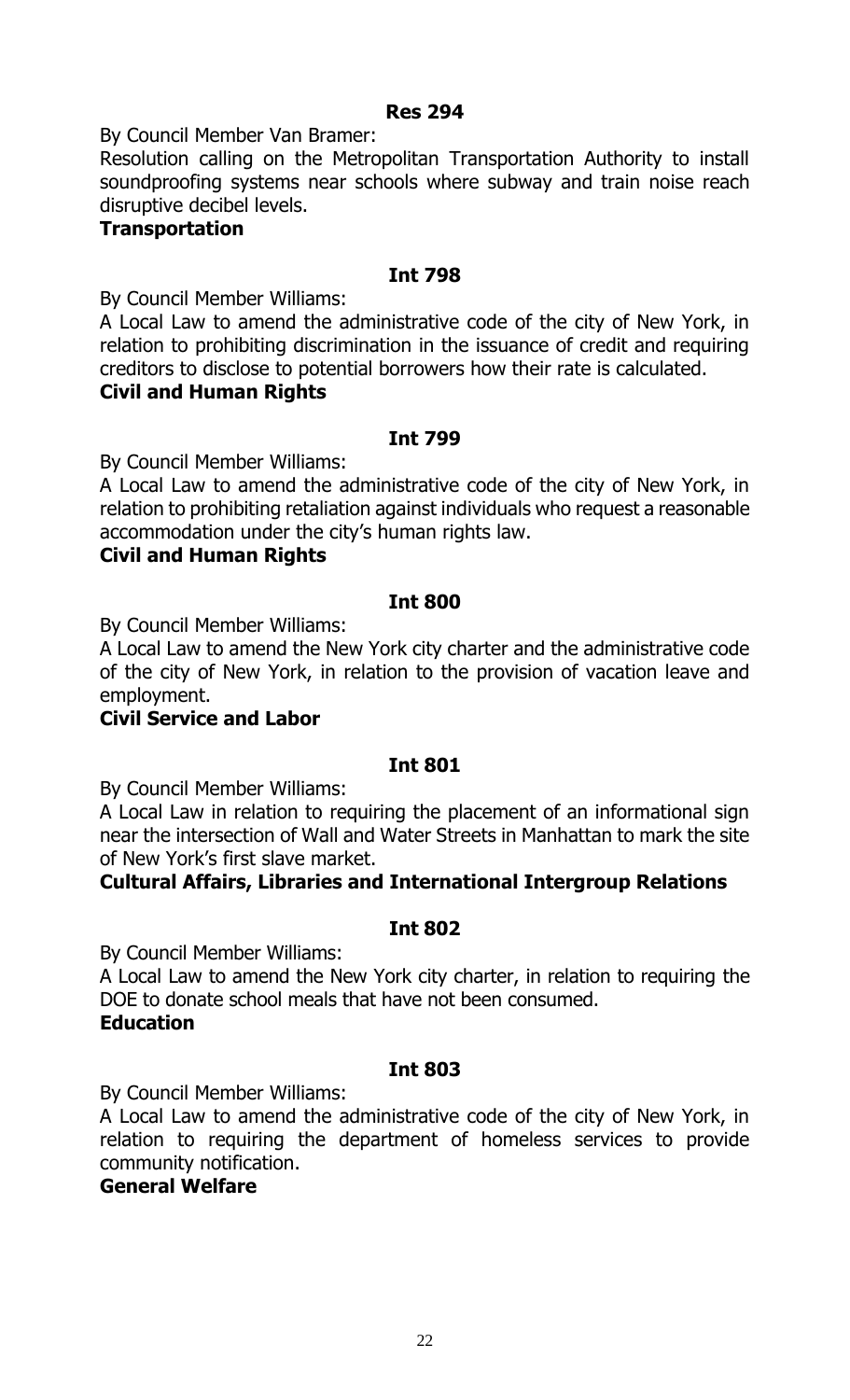# **Res 294**

By Council Member Van Bramer:

Resolution calling on the Metropolitan Transportation Authority to install soundproofing systems near schools where subway and train noise reach disruptive decibel levels.

### **Transportation**

# **Int 798**

By Council Member Williams:

A Local Law to amend the administrative code of the city of New York, in relation to prohibiting discrimination in the issuance of credit and requiring creditors to disclose to potential borrowers how their rate is calculated.

#### **Civil and Human Rights**

#### **Int 799**

By Council Member Williams:

A Local Law to amend the administrative code of the city of New York, in relation to prohibiting retaliation against individuals who request a reasonable accommodation under the city's human rights law.

#### **Civil and Human Rights**

#### **Int 800**

By Council Member Williams:

A Local Law to amend the New York city charter and the administrative code of the city of New York, in relation to the provision of vacation leave and employment.

# **Civil Service and Labor**

#### **Int 801**

By Council Member Williams:

A Local Law in relation to requiring the placement of an informational sign near the intersection of Wall and Water Streets in Manhattan to mark the site of New York's first slave market.

# **Cultural Affairs, Libraries and International Intergroup Relations**

#### **Int 802**

By Council Member Williams:

A Local Law to amend the New York city charter, in relation to requiring the DOE to donate school meals that have not been consumed. **Education**

#### **Int 803**

By Council Member Williams:

A Local Law to amend the administrative code of the city of New York, in relation to requiring the department of homeless services to provide community notification.

# **General Welfare**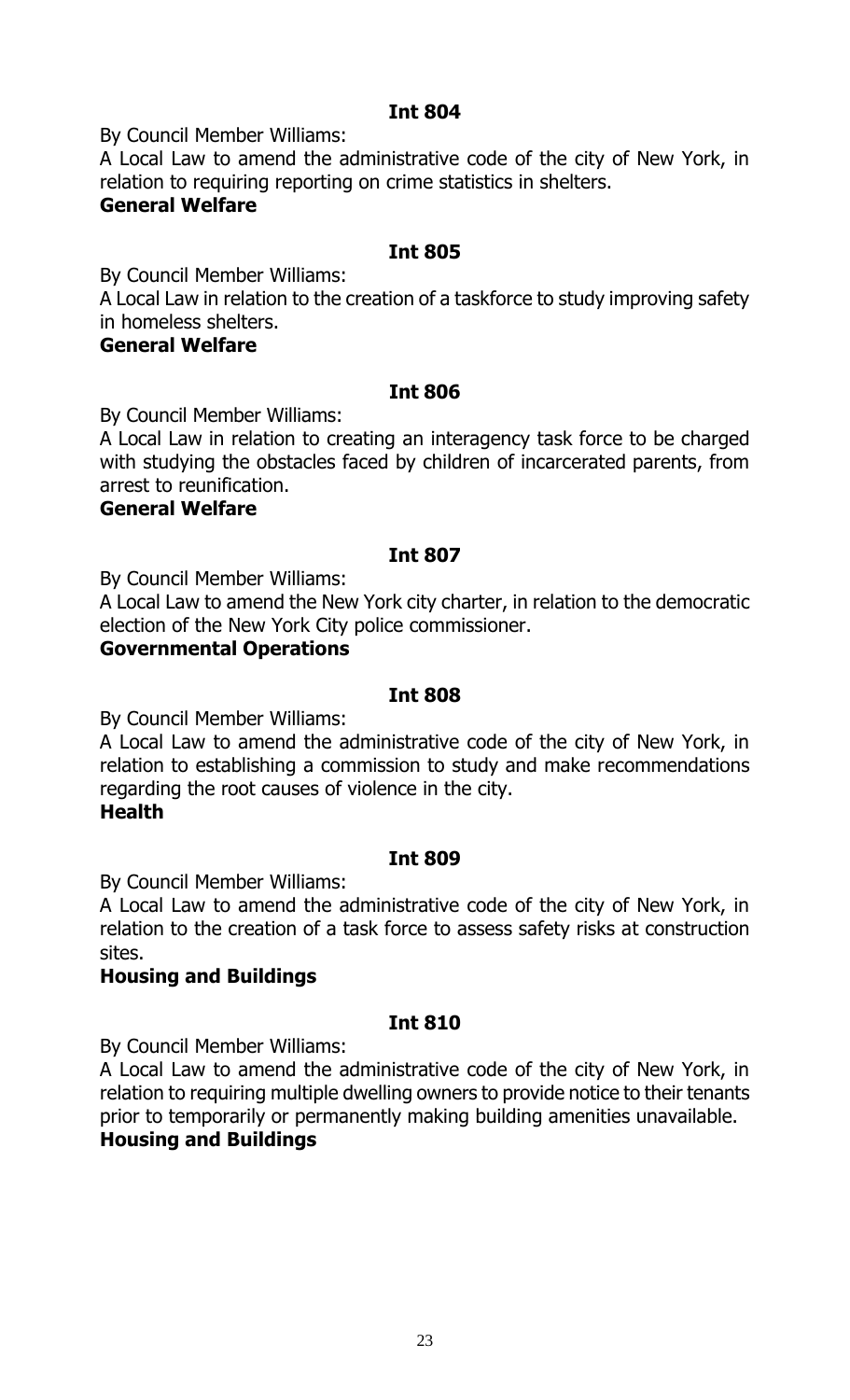By Council Member Williams:

A Local Law to amend the administrative code of the city of New York, in relation to requiring reporting on crime statistics in shelters.

# **General Welfare**

### **Int 805**

By Council Member Williams:

A Local Law in relation to the creation of a taskforce to study improving safety in homeless shelters.

### **General Welfare**

# **Int 806**

By Council Member Williams:

A Local Law in relation to creating an interagency task force to be charged with studying the obstacles faced by children of incarcerated parents, from arrest to reunification.

#### **General Welfare**

# **Int 807**

By Council Member Williams:

A Local Law to amend the New York city charter, in relation to the democratic election of the New York City police commissioner.

# **Governmental Operations**

#### **Int 808**

By Council Member Williams:

A Local Law to amend the administrative code of the city of New York, in relation to establishing a commission to study and make recommendations regarding the root causes of violence in the city.

# **Health**

#### **Int 809**

By Council Member Williams:

A Local Law to amend the administrative code of the city of New York, in relation to the creation of a task force to assess safety risks at construction sites.

#### **Housing and Buildings**

# **Int 810**

By Council Member Williams:

A Local Law to amend the administrative code of the city of New York, in relation to requiring multiple dwelling owners to provide notice to their tenants prior to temporarily or permanently making building amenities unavailable. **Housing and Buildings**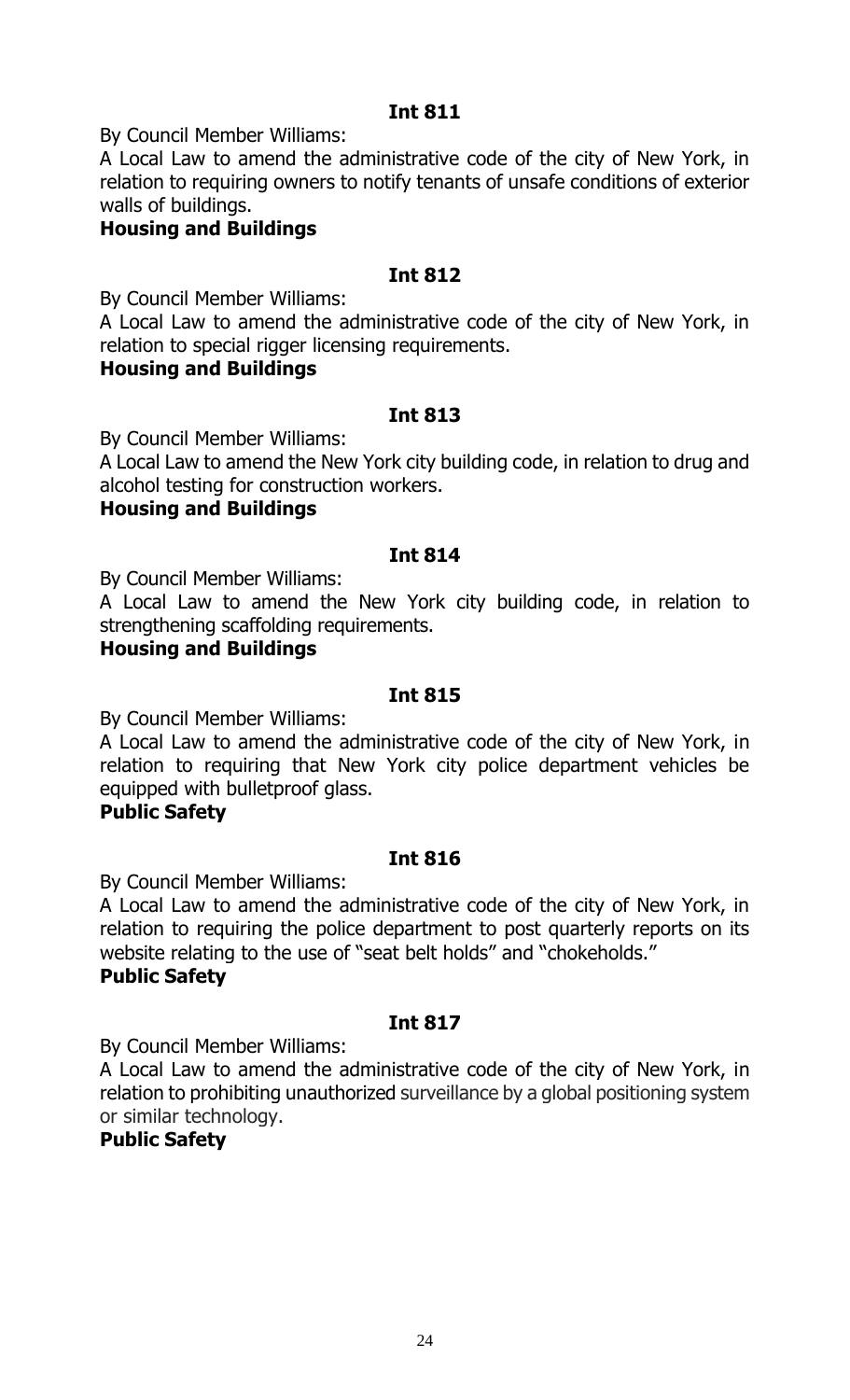By Council Member Williams:

A Local Law to amend the administrative code of the city of New York, in relation to requiring owners to notify tenants of unsafe conditions of exterior walls of buildings.

# **Housing and Buildings**

#### **Int 812**

By Council Member Williams:

A Local Law to amend the administrative code of the city of New York, in relation to special rigger licensing requirements.

#### **Housing and Buildings**

#### **Int 813**

By Council Member Williams:

A Local Law to amend the New York city building code, in relation to drug and alcohol testing for construction workers.

#### **Housing and Buildings**

#### **Int 814**

By Council Member Williams:

A Local Law to amend the New York city building code, in relation to strengthening scaffolding requirements.

#### **Housing and Buildings**

#### **Int 815**

By Council Member Williams:

A Local Law to amend the administrative code of the city of New York, in relation to requiring that New York city police department vehicles be equipped with bulletproof glass.

#### **Public Safety**

#### **Int 816**

By Council Member Williams:

A Local Law to amend the administrative code of the city of New York, in relation to requiring the police department to post quarterly reports on its website relating to the use of "seat belt holds" and "chokeholds."

#### **Public Safety**

# **Int 817**

By Council Member Williams:

A Local Law to amend the administrative code of the city of New York, in relation to prohibiting unauthorized surveillance by a global positioning system or similar technology.

# **Public Safety**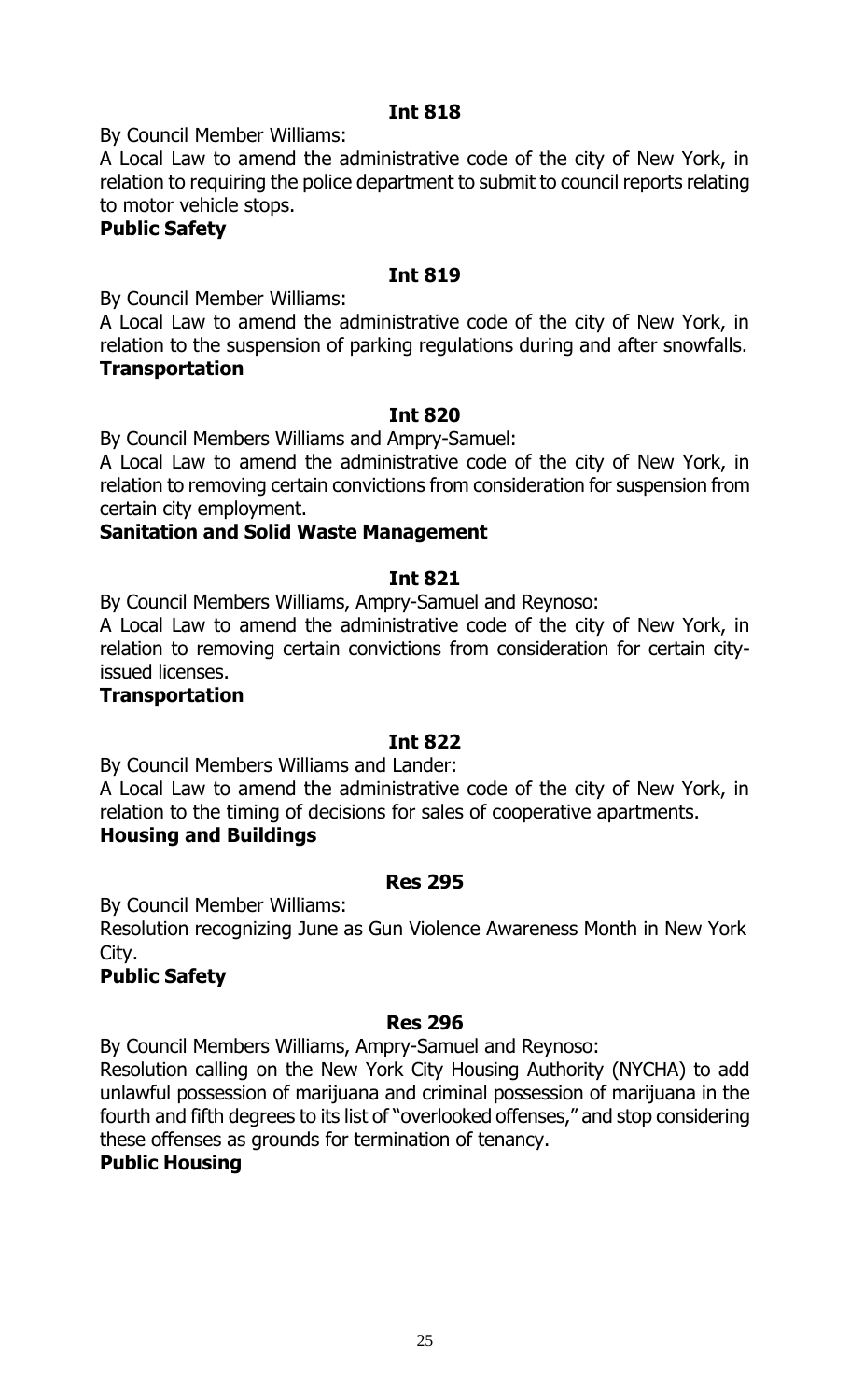By Council Member Williams:

A Local Law to amend the administrative code of the city of New York, in relation to requiring the police department to submit to council reports relating to motor vehicle stops.

# **Public Safety**

### **Int 819**

By Council Member Williams:

A Local Law to amend the administrative code of the city of New York, in relation to the suspension of parking regulations during and after snowfalls. **Transportation**

#### **Int 820**

By Council Members Williams and Ampry-Samuel:

A Local Law to amend the administrative code of the city of New York, in relation to removing certain convictions from consideration for suspension from certain city employment.

# **Sanitation and Solid Waste Management**

#### **Int 821**

By Council Members Williams, Ampry-Samuel and Reynoso:

A Local Law to amend the administrative code of the city of New York, in relation to removing certain convictions from consideration for certain cityissued licenses.

#### **Transportation**

#### **Int 822**

By Council Members Williams and Lander:

A Local Law to amend the administrative code of the city of New York, in relation to the timing of decisions for sales of cooperative apartments. **Housing and Buildings**

#### **Res 295**

By Council Member Williams:

Resolution recognizing June as Gun Violence Awareness Month in New York City.

# **Public Safety**

# **Res 296**

By Council Members Williams, Ampry-Samuel and Reynoso:

Resolution calling on the New York City Housing Authority (NYCHA) to add unlawful possession of marijuana and criminal possession of marijuana in the fourth and fifth degrees to its list of "overlooked offenses," and stop considering these offenses as grounds for termination of tenancy.

#### **Public Housing**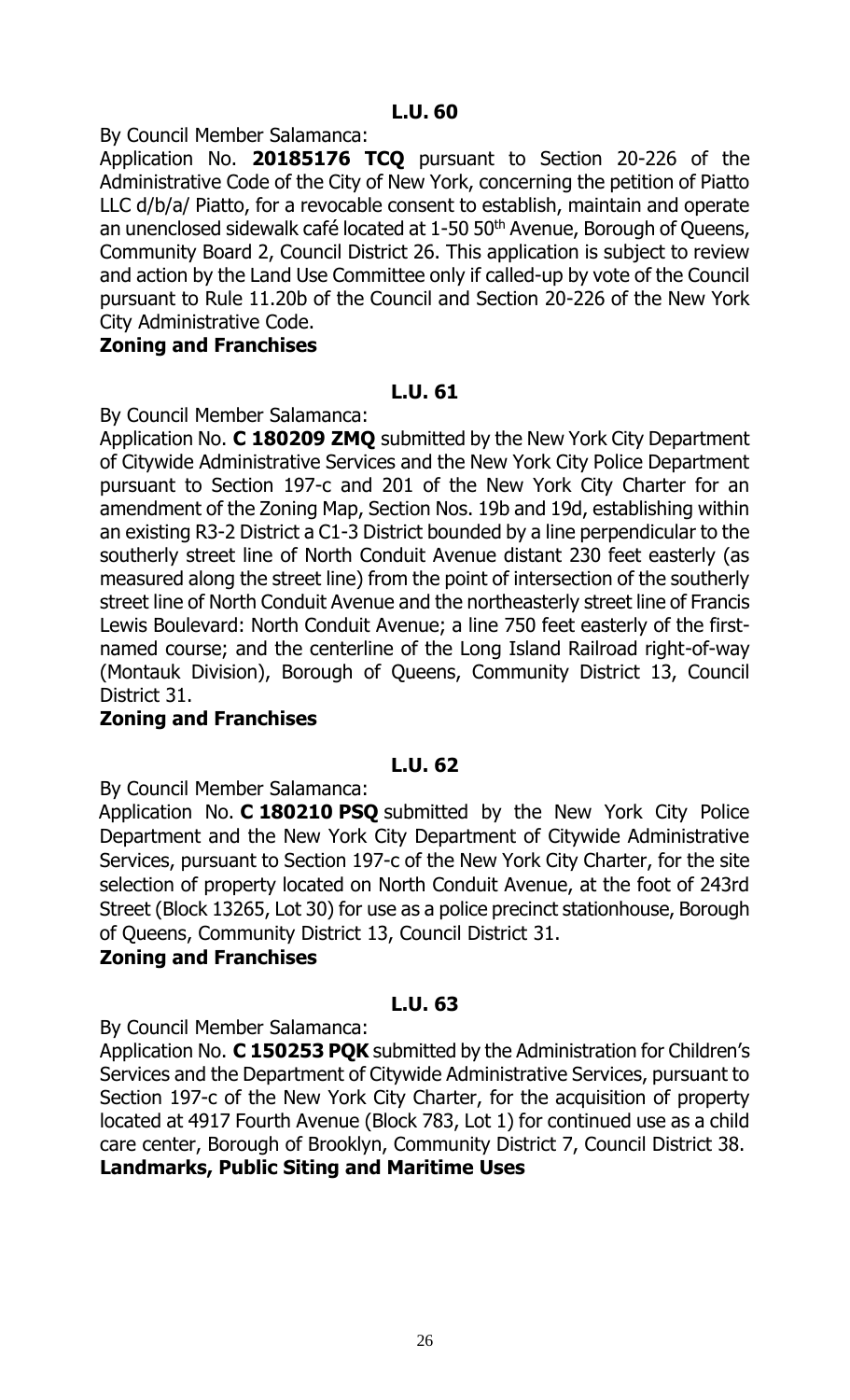By Council Member Salamanca:

Application No. **20185176 TCQ** pursuant to Section 20-226 of the Administrative Code of the City of New York, concerning the petition of Piatto LLC d/b/a/ Piatto, for a revocable consent to establish, maintain and operate an unenclosed sidewalk café located at 1-50 50<sup>th</sup> Avenue, Borough of Queens, Community Board 2, Council District 26. This application is subject to review and action by the Land Use Committee only if called-up by vote of the Council pursuant to Rule 11.20b of the Council and Section 20-226 of the New York City Administrative Code.

# **Zoning and Franchises**

#### **L.U. 61**

By Council Member Salamanca:

Application No. **C 180209 ZMQ** submitted by the New York City Department of Citywide Administrative Services and the New York City Police Department pursuant to Section 197-c and 201 of the New York City Charter for an amendment of the Zoning Map, Section Nos. 19b and 19d, establishing within an existing R3-2 District a C1-3 District bounded by a line perpendicular to the southerly street line of North Conduit Avenue distant 230 feet easterly (as measured along the street line) from the point of intersection of the southerly street line of North Conduit Avenue and the northeasterly street line of Francis Lewis Boulevard: North Conduit Avenue; a line 750 feet easterly of the firstnamed course; and the centerline of the Long Island Railroad right-of-way (Montauk Division), Borough of Queens, Community District 13, Council District 31.

#### **Zoning and Franchises**

#### **L.U. 62**

By Council Member Salamanca:

Application No. **C 180210 PSQ** submitted by the New York City Police Department and the New York City Department of Citywide Administrative Services, pursuant to Section 197-c of the New York City Charter, for the site selection of property located on North Conduit Avenue, at the foot of 243rd Street (Block 13265, Lot 30) for use as a police precinct stationhouse, Borough of Queens, Community District 13, Council District 31.

#### **Zoning and Franchises**

#### **L.U. 63**

By Council Member Salamanca:

Application No. **C 150253 PQK** submitted by the Administration for Children's Services and the Department of Citywide Administrative Services, pursuant to Section 197-c of the New York City Charter, for the acquisition of property located at 4917 Fourth Avenue (Block 783, Lot 1) for continued use as a child care center, Borough of Brooklyn, Community District 7, Council District 38. **Landmarks, Public Siting and Maritime Uses**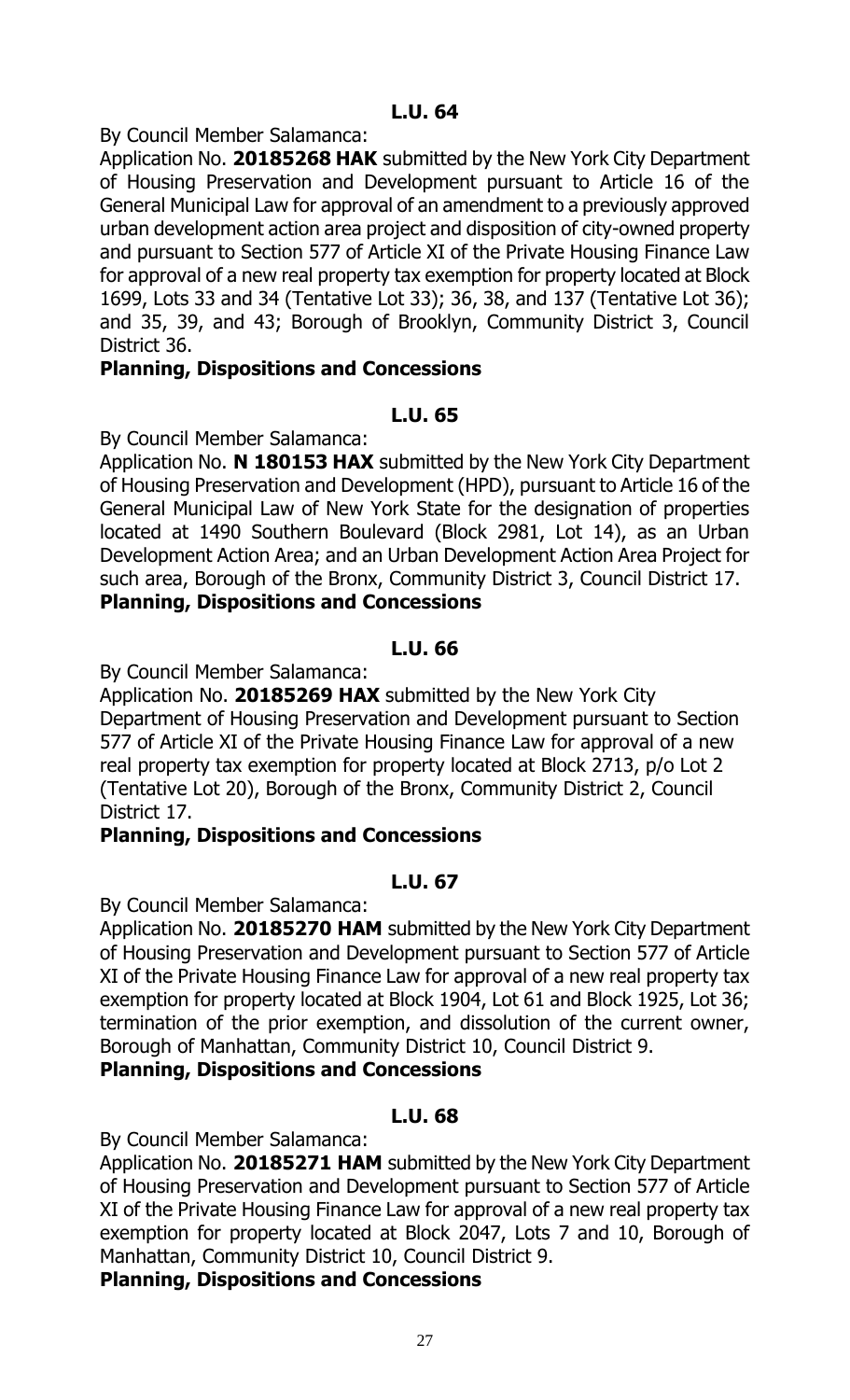By Council Member Salamanca:

Application No. **20185268 HAK** submitted by the New York City Department of Housing Preservation and Development pursuant to Article 16 of the General Municipal Law for approval of an amendment to a previously approved urban development action area project and disposition of city-owned property and pursuant to Section 577 of Article XI of the Private Housing Finance Law for approval of a new real property tax exemption for property located at Block 1699, Lots 33 and 34 (Tentative Lot 33); 36, 38, and 137 (Tentative Lot 36); and 35, 39, and 43; Borough of Brooklyn, Community District 3, Council District 36.

# **Planning, Dispositions and Concessions**

# **L.U. 65**

By Council Member Salamanca:

Application No. **N 180153 HAX** submitted by the New York City Department of Housing Preservation and Development (HPD), pursuant to Article 16 of the General Municipal Law of New York State for the designation of properties located at 1490 Southern Boulevard (Block 2981, Lot 14), as an Urban Development Action Area; and an Urban Development Action Area Project for such area, Borough of the Bronx, Community District 3, Council District 17. **Planning, Dispositions and Concessions**

# **L.U. 66**

By Council Member Salamanca:

Application No. **20185269 HAX** submitted by the New York City Department of Housing Preservation and Development pursuant to Section 577 of Article XI of the Private Housing Finance Law for approval of a new real property tax exemption for property located at Block 2713, p/o Lot 2 (Tentative Lot 20), Borough of the Bronx, Community District 2, Council District 17.

# **Planning, Dispositions and Concessions**

# **L.U. 67**

By Council Member Salamanca:

Application No. **20185270 HAM** submitted by the New York City Department of Housing Preservation and Development pursuant to Section 577 of Article XI of the Private Housing Finance Law for approval of a new real property tax exemption for property located at Block 1904, Lot 61 and Block 1925, Lot 36; termination of the prior exemption, and dissolution of the current owner, Borough of Manhattan, Community District 10, Council District 9.

# **Planning, Dispositions and Concessions**

# **L.U. 68**

By Council Member Salamanca:

Application No. **20185271 HAM** submitted by the New York City Department of Housing Preservation and Development pursuant to Section 577 of Article XI of the Private Housing Finance Law for approval of a new real property tax exemption for property located at Block 2047, Lots 7 and 10, Borough of Manhattan, Community District 10, Council District 9.

**Planning, Dispositions and Concessions**